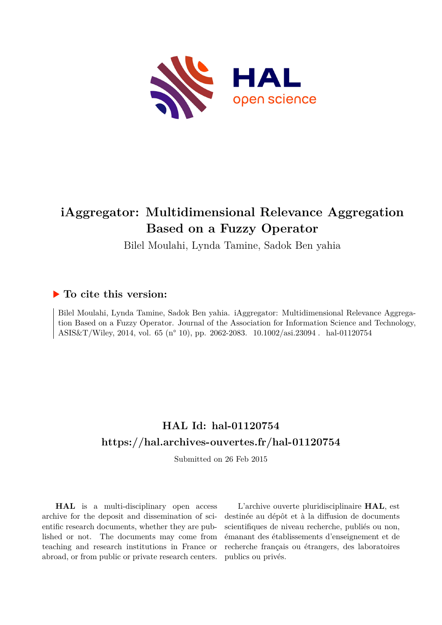

# **iAggregator: Multidimensional Relevance Aggregation Based on a Fuzzy Operator**

Bilel Moulahi, Lynda Tamine, Sadok Ben yahia

# **To cite this version:**

Bilel Moulahi, Lynda Tamine, Sadok Ben yahia. iAggregator: Multidimensional Relevance Aggregation Based on a Fuzzy Operator. Journal of the Association for Information Science and Technology, ASIS&T/Wiley, 2014, vol. 65 (n° 10), pp. 2062-2083.  $10.1002/\text{asi.}23094$ . hal-01120754

# **HAL Id: hal-01120754 <https://hal.archives-ouvertes.fr/hal-01120754>**

Submitted on 26 Feb 2015

**HAL** is a multi-disciplinary open access archive for the deposit and dissemination of scientific research documents, whether they are published or not. The documents may come from teaching and research institutions in France or abroad, or from public or private research centers.

L'archive ouverte pluridisciplinaire **HAL**, est destinée au dépôt et à la diffusion de documents scientifiques de niveau recherche, publiés ou non, émanant des établissements d'enseignement et de recherche français ou étrangers, des laboratoires publics ou privés.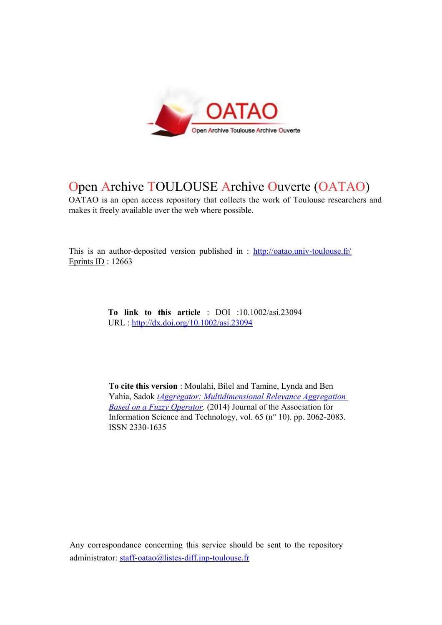

# Open Archive TOULOUSE Archive Ouverte (OATAO)

OATAO is an open access repository that collects the work of Toulouse researchers and makes it freely available over the web where possible.

This is an author-deposited version published in :<http://oatao.univ-toulouse.fr/> Eprints ID : 12663

> **To link to this article** : DOI :10.1002/asi.23094 URL :<http://dx.doi.org/10.1002/asi.23094>

**To cite this version** : Moulahi, Bilel and Tamine, Lynda and Ben Yahia, Sadok *[iAggregator: Multidimensional Relevance Aggregation](http://oatao.univ-toulouse.fr/12663/)  [Based on a Fuzzy Operator.](http://oatao.univ-toulouse.fr/12663/)* (2014) Journal of the Association for Information Science and Technology, vol. 65 (n° 10). pp. 2062-2083. ISSN 2330-1635

Any correspondance concerning this service should be sent to the repository administrator: [staff-oatao@listes-diff.inp-toulouse.fr](mailto:staff-oatao@listes-diff.inp-toulouse.fr)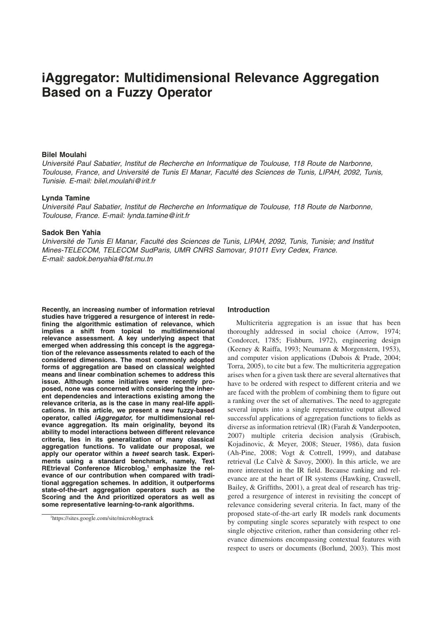# **iAggregator: Multidimensional Relevance Aggregation Based on a Fuzzy Operator**

# **Bilel Moulahi**

Université Paul Sabatier, Institut de Recherche en Informatique de Toulouse, 118 Route de Narbonne, Toulouse, France, and Université de Tunis El Manar, Faculté des Sciences de Tunis, LIPAH, 2092, Tunis, Tunisie. E-mail: bilel.moulahi@irit.fr

# **Lynda Tamine**

Université Paul Sabatier, Institut de Recherche en Informatique de Toulouse, 118 Route de Narbonne, Toulouse, France. E-mail: lynda.tamine@irit.fr

#### **Sadok Ben Yahia**

Université de Tunis El Manar, Faculté des Sciences de Tunis, LIPAH, 2092, Tunis, Tunisie; and Institut Mines-TELECOM, TELECOM SudParis, UMR CNRS Samovar, 91011 Evry Cedex, France. E-mail: sadok.benyahia@fst.rnu.tn

**Recently, an increasing number of information retrieval studies have triggered a resurgence of interest in redefining the algorithmic estimation of relevance, which implies a shift from topical to multidimensional relevance assessment. A key underlying aspect that emerged when addressing this concept is the aggregation of the relevance assessments related to each of the considered dimensions. The most commonly adopted forms of aggregation are based on classical weighted means and linear combination schemes to address this issue. Although some initiatives were recently proposed, none was concerned with considering the inherent dependencies and interactions existing among the relevance criteria, as is the case in many real-life applications. In this article, we present a new fuzzy-based operator, called iAggregator, for multidimensional relevance aggregation. Its main originality, beyond its ability to model interactions between different relevance criteria, lies in its generalization of many classical aggregation functions. To validate our proposal, we apply our operator within a tweet search task. Experiments using a standard benchmark, namely, Text REtrieval Conference Microblog,<sup>1</sup> emphasize the relevance of our contribution when compared with traditional aggregation schemes. In addition, it outperforms state-of-the-art aggregation operators such as the Scoring and the And prioritized operators as well as some representative learning-to-rank algorithms.**

#### **Introduction**

Multicriteria aggregation is an issue that has been thoroughly addressed in social choice (Arrow, 1974; Condorcet, 1785; Fishburn, 1972), engineering design (Keeney & Raiffa, 1993; Neumann & Morgenstern, 1953), and computer vision applications (Dubois & Prade, 2004; Torra, 2005), to cite but a few. The multicriteria aggregation arises when for a given task there are several alternatives that have to be ordered with respect to different criteria and we are faced with the problem of combining them to figure out a ranking over the set of alternatives. The need to aggregate several inputs into a single representative output allowed successful applications of aggregation functions to fields as diverse as information retrieval (IR) (Farah & Vanderpooten, 2007) multiple criteria decision analysis (Grabisch, Kojadinovic, & Meyer, 2008; Steuer, 1986), data fusion (Ah-Pine, 2008; Vogt & Cottrell, 1999), and database retrieval (Le Calvè & Savoy, 2000). In this article, we are more interested in the IR field. Because ranking and relevance are at the heart of IR systems (Hawking, Craswell, Bailey, & Griffiths, 2001), a great deal of research has triggered a resurgence of interest in revisiting the concept of relevance considering several criteria. In fact, many of the proposed state-of-the-art early IR models rank documents by computing single scores separately with respect to one single objective criterion, rather than considering other relevance dimensions encompassing contextual features with respect to users or documents (Borlund, 2003). This most

<sup>1</sup>https://sites.google.com/site/microblogtrack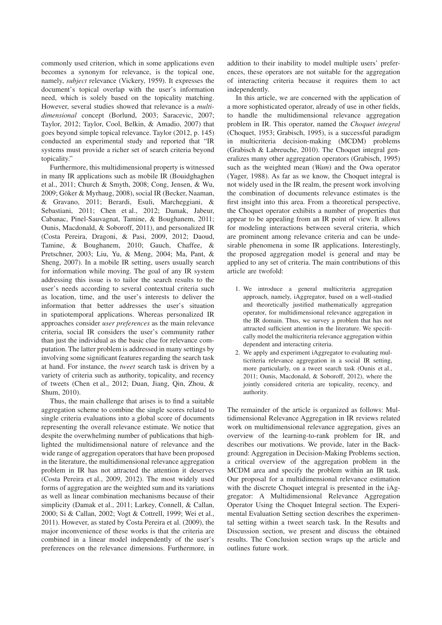commonly used criterion, which in some applications even becomes a synonym for relevance, is the topical one, namely, *subject* relevance (Vickery, 1959). It expresses the document's topical overlap with the user's information need, which is solely based on the topicality matching. However, several studies showed that relevance is a *multidimensional* concept (Borlund, 2003; Saracevic, 2007; Taylor, 2012; Taylor, Cool, Belkin, & Amadio, 2007) that goes beyond simple topical relevance. Taylor (2012, p. 145) conducted an experimental study and reported that "IR systems must provide a richer set of search criteria beyond topicality."

Furthermore, this multidimensional property is witnessed in many IR applications such as mobile IR (Bouidghaghen et al., 2011; Church & Smyth, 2008; Cong, Jensen, & Wu, 2009; Göker & Myrhaug, 2008), social IR (Becker, Naaman, & Gravano, 2011; Berardi, Esuli, Marcheggiani, & Sebastiani, 2011; Chen et al., 2012; Damak, Jabeur, Cabanac, Pinel-Sauvagnat, Tamine, & Boughanem, 2011; Ounis, Macdonald, & Soboroff, 2011), and personalized IR (Costa Pereira, Dragoni, & Pasi, 2009, 2012; Daoud, Tamine, & Boughanem, 2010; Gauch, Chaffee, & Pretschner, 2003; Liu, Yu, & Meng, 2004; Ma, Pant, & Sheng, 2007). In a mobile IR setting, users usually search for information while moving. The goal of any IR system addressing this issue is to tailor the search results to the user's needs according to several contextual criteria such as location, time, and the user's interests to deliver the information that better addresses the user's situation in spatiotemporal applications. Whereas personalized IR approaches consider *user preferences* as the main relevance criteria, social IR considers the user's community rather than just the individual as the basic clue for relevance computation. The latter problem is addressed in many settings by involving some significant features regarding the search task at hand. For instance, the *tweet* search task is driven by a variety of criteria such as authority, topicality, and recency of tweets (Chen et al., 2012; Duan, Jiang, Qin, Zhou, & Shum, 2010).

Thus, the main challenge that arises is to find a suitable aggregation scheme to combine the single scores related to single criteria evaluations into a global score of documents representing the overall relevance estimate. We notice that despite the overwhelming number of publications that highlighted the multidimensional nature of relevance and the wide range of aggregation operators that have been proposed in the literature, the multidimensional relevance aggregation problem in IR has not attracted the attention it deserves (Costa Pereira et al., 2009, 2012). The most widely used forms of aggregation are the weighted sum and its variations as well as linear combination mechanisms because of their simplicity (Damak et al., 2011; Larkey, Connell, & Callan, 2000; Si & Callan, 2002; Vogt & Cottrell, 1999; Wei et al., 2011). However, as stated by Costa Pereira et al. (2009), the major inconvenience of these works is that the criteria are combined in a linear model independently of the user's preferences on the relevance dimensions. Furthermore, in addition to their inability to model multiple users' preferences, these operators are not suitable for the aggregation of interacting criteria because it requires them to act independently.

In this article, we are concerned with the application of a more sophisticated operator, already of use in other fields, to handle the multidimensional relevance aggregation problem in IR. This operator, named the *Choquet integral* (Choquet, 1953; Grabisch, 1995), is a successful paradigm in multicriteria decision-making (MCDM) problems (Grabisch & Labreuche, 2010). The Choquet integral generalizes many other aggregation operators (Grabisch, 1995) such as the weighted mean (*Wam*) and the Owa operator (Yager, 1988). As far as we know, the Choquet integral is not widely used in the IR realm, the present work involving the combination of documents relevance estimates is the first insight into this area. From a theoretical perspective, the Choquet operator exhibits a number of properties that appear to be appealing from an IR point of view. It allows for modeling interactions between several criteria, which are prominent among relevance criteria and can be undesirable phenomena in some IR applications. Interestingly, the proposed aggregation model is general and may be applied to any set of criteria. The main contributions of this article are twofold:

- 1. We introduce a general multicriteria aggregation approach, namely, iAggregator, based on a well-studied and theoretically justified mathematically aggregation operator, for multidimensional relevance aggregation in the IR domain. Thus, we survey a problem that has not attracted sufficient attention in the literature. We specifically model the multicriteria relevance aggregation within dependent and interacting criteria.
- 2. We apply and experiment iAggregator to evaluating multicriteria relevance aggregation in a social IR setting, more particularly, on a tweet search task (Ounis et al., 2011; Ounis, Macdonald, & Soboroff, 2012), where the jointly considered criteria are topicality, recency, and authority.

The remainder of the article is organized as follows: Multidimensional Relevance Aggregation in IR reviews related work on multidimensional relevance aggregation, gives an overview of the learning-to-rank problem for IR, and describes our motivations. We provide, later in the Background: Aggregation in Decision-Making Problems section, a critical overview of the aggregation problem in the MCDM area and specify the problem within an IR task. Our proposal for a multidimensional relevance estimation with the discrete Choquet integral is presented in the iAggregator: A Multidimensional Relevance Aggregation Operator Using the Choquet Integral section. The Experimental Evaluation Setting section describes the experimental setting within a tweet search task. In the Results and Discussion section, we present and discuss the obtained results. The Conclusion section wraps up the article and outlines future work.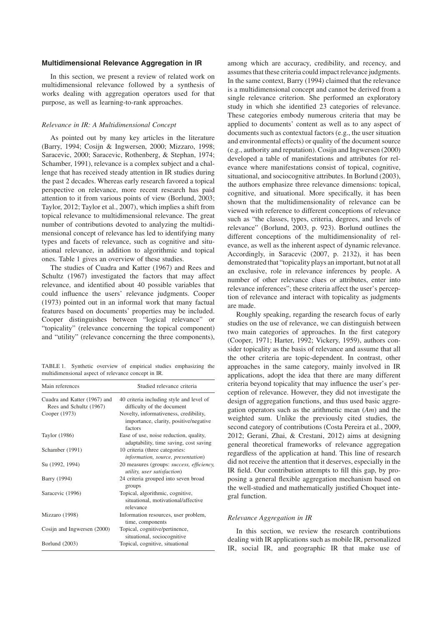# **Multidimensional Relevance Aggregation in IR**

In this section, we present a review of related work on multidimensional relevance followed by a synthesis of works dealing with aggregation operators used for that purpose, as well as learning-to-rank approaches.

# *Relevance in IR: A Multidimensional Concept*

As pointed out by many key articles in the literature (Barry, 1994; Cosijn & Ingwersen, 2000; Mizzaro, 1998; Saracevic, 2000; Saracevic, Rothenberg, & Stephan, 1974; Schamber, 1991), relevance is a complex subject and a challenge that has received steady attention in IR studies during the past 2 decades. Whereas early research favored a topical perspective on relevance, more recent research has paid attention to it from various points of view (Borlund, 2003; Taylor, 2012; Taylor et al., 2007), which implies a shift from topical relevance to multidimensional relevance. The great number of contributions devoted to analyzing the multidimensional concept of relevance has led to identifying many types and facets of relevance, such as cognitive and situational relevance, in addition to algorithmic and topical ones. Table 1 gives an overview of these studies.

The studies of Cuadra and Katter (1967) and Rees and Schultz (1967) investigated the factors that may affect relevance, and identified about 40 possible variables that could influence the users' relevance judgments. Cooper (1973) pointed out in an informal work that many factual features based on documents' properties may be included. Cooper distinguishes between "logical relevance" or "topicality" (relevance concerning the topical component) and "utility" (relevance concerning the three components),

TABLE 1. Synthetic overview of empirical studies emphasizing the multidimensional aspect of relevance concept in IR.

| Main references                                         | Studied relevance criteria                                                                  |  |  |  |
|---------------------------------------------------------|---------------------------------------------------------------------------------------------|--|--|--|
| Cuadra and Katter (1967) and<br>Rees and Schultz (1967) | 40 criteria including style and level of<br>difficulty of the document                      |  |  |  |
| Cooper (1973)                                           | Novelty, informativeness, credibility,<br>importance, clarity, positive/negative<br>factors |  |  |  |
| Taylor (1986)                                           | Ease of use, noise reduction, quality,<br>adaptability, time saving, cost saving            |  |  |  |
| Schamber (1991)                                         | 10 criteria (three categories:<br>information, source, presentation)                        |  |  |  |
| Su (1992, 1994)                                         | 20 measures (groups: <i>success</i> , <i>efficiency</i> ,<br>utility, user satisfaction)    |  |  |  |
| Barry (1994)                                            | 24 criteria grouped into seven broad<br>groups                                              |  |  |  |
| Saracevic (1996)                                        | Topical, algorithmic, cognitive,<br>situational, motivational/affective<br>relevance        |  |  |  |
| Mizzaro (1998)                                          | Information resources, user problem,<br>time, components                                    |  |  |  |
| Cosijn and Ingwersen (2000)                             | Topical, cognitive/pertinence,<br>situational, sociocognitive                               |  |  |  |
| Borlund (2003)                                          | Topical, cognitive, situational                                                             |  |  |  |

among which are accuracy, credibility, and recency, and assumes that these criteria could impact relevance judgments. In the same context, Barry (1994) claimed that the relevance is a multidimensional concept and cannot be derived from a single relevance criterion. She performed an exploratory study in which she identified 23 categories of relevance. These categories embody numerous criteria that may be applied to documents' content as well as to any aspect of documents such as contextual factors (e.g., the user situation and environmental effects) or quality of the document source (e.g., authority and reputation). Cosijn and Ingwersen (2000) developed a table of manifestations and attributes for relevance where manifestations consist of topical, cognitive, situational, and sociocognitive attributes. In Borlund (2003), the authors emphasize three relevance dimensions: topical, cognitive, and situational. More specifically, it has been shown that the multidimensionality of relevance can be viewed with reference to different conceptions of relevance such as "the classes, types, criteria, degrees, and levels of relevance" (Borlund, 2003, p. 923). Borlund outlines the different conceptions of the multidimensionality of relevance, as well as the inherent aspect of dynamic relevance. Accordingly, in Saracevic (2007, p. 2132), it has been demonstrated that "topicality plays an important, but not at all an exclusive, role in relevance inferences by people. A number of other relevance clues or attributes, enter into relevance inferences"; these criteria affect the user's perception of relevance and interact with topicality as judgments are made.

Roughly speaking, regarding the research focus of early studies on the use of relevance, we can distinguish between two main categories of approaches. In the first category (Cooper, 1971; Harter, 1992; Vickery, 1959), authors consider topicality as the basis of relevance and assume that all the other criteria are topic-dependent. In contrast, other approaches in the same category, mainly involved in IR applications, adopt the idea that there are many different criteria beyond topicality that may influence the user's perception of relevance. However, they did not investigate the design of aggregation functions, and thus used basic aggregation operators such as the arithmetic mean (*Am*) and the weighted sum. Unlike the previously cited studies, the second category of contributions (Costa Pereira et al., 2009, 2012; Gerani, Zhai, & Crestani, 2012) aims at designing general theoretical frameworks of relevance aggregation regardless of the application at hand. This line of research did not receive the attention that it deserves, especially in the IR field. Our contribution attempts to fill this gap, by proposing a general flexible aggregation mechanism based on the well-studied and mathematically justified Choquet integral function.

### *Relevance Aggregation in IR*

In this section, we review the research contributions dealing with IR applications such as mobile IR, personalized IR, social IR, and geographic IR that make use of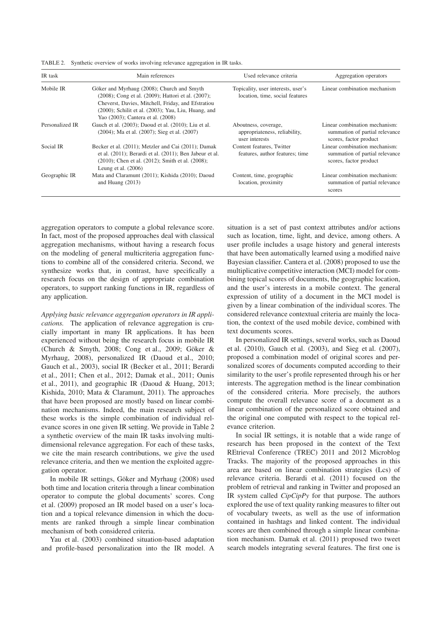|  |  |  |  |  |  | TABLE 2. Synthetic overview of works involving relevance aggregation in IR tasks. |  |
|--|--|--|--|--|--|-----------------------------------------------------------------------------------|--|
|--|--|--|--|--|--|-----------------------------------------------------------------------------------|--|

| IR task         | Main references                                                                                                                                                                                                                                    | Used relevance criteria                                                 | Aggregation operators                                                                     |
|-----------------|----------------------------------------------------------------------------------------------------------------------------------------------------------------------------------------------------------------------------------------------------|-------------------------------------------------------------------------|-------------------------------------------------------------------------------------------|
| Mobile IR       | Göker and Myrhaug (2008); Church and Smyth<br>(2008); Cong et al. (2009); Hattori et al. (2007);<br>Cheverst, Davies, Mitchell, Friday, and Efstratiou<br>(2000); Schilit et al. (2003); Yau, Liu, Huang, and<br>Yao (2003); Cantera et al. (2008) | Topicality, user interests, user's<br>location, time, social features   | Linear combination mechanism                                                              |
| Personalized IR | Gauch et al. (2003); Daoud et al. (2010); Liu et al.<br>$(2004)$ ; Ma et al. $(2007)$ ; Sieg et al. $(2007)$                                                                                                                                       | Aboutness, coverage,<br>appropriateness, reliability,<br>user interests | Linear combination mechanism:<br>summation of partial relevance<br>scores, factor product |
| Social IR       | Becker et al. (2011); Metzler and Cai (2011); Damak<br>et al. (2011); Berardi et al. (2011); Ben Jabeur et al.<br>$(2010)$ ; Chen et al. $(2012)$ ; Smith et al. $(2008)$ ;<br>Leung et al. $(2006)$                                               | Content features, Twitter<br>features, author features; time            | Linear combination mechanism:<br>summation of partial relevance<br>scores, factor product |
| Geographic IR   | Mata and Claramunt (2011); Kishida (2010); Daoud<br>and Huang $(2013)$                                                                                                                                                                             | Content, time, geographic<br>location, proximity                        | Linear combination mechanism:<br>summation of partial relevance<br>scores                 |

aggregation operators to compute a global relevance score. In fact, most of the proposed approaches deal with classical aggregation mechanisms, without having a research focus on the modeling of general multicriteria aggregation functions to combine all of the considered criteria. Second, we synthesize works that, in contrast, have specifically a research focus on the design of appropriate combination operators, to support ranking functions in IR, regardless of any application.

*Applying basic relevance aggregation operators in IR applications.* The application of relevance aggregation is crucially important in many IR applications. It has been experienced without being the research focus in mobile IR (Church & Smyth, 2008; Cong et al., 2009; Göker & Myrhaug, 2008), personalized IR (Daoud et al., 2010; Gauch et al., 2003), social IR (Becker et al., 2011; Berardi et al., 2011; Chen et al., 2012; Damak et al., 2011; Ounis et al., 2011), and geographic IR (Daoud & Huang, 2013; Kishida, 2010; Mata & Claramunt, 2011). The approaches that have been proposed are mostly based on linear combination mechanisms. Indeed, the main research subject of these works is the simple combination of individual relevance scores in one given IR setting. We provide in Table 2 a synthetic overview of the main IR tasks involving multidimensional relevance aggregation. For each of these tasks, we cite the main research contributions, we give the used relevance criteria, and then we mention the exploited aggregation operator.

In mobile IR settings, Göker and Myrhaug (2008) used both time and location criteria through a linear combination operator to compute the global documents' scores. Cong et al. (2009) proposed an IR model based on a user's location and a topical relevance dimension in which the documents are ranked through a simple linear combination mechanism of both considered criteria.

Yau et al. (2003) combined situation-based adaptation and profile-based personalization into the IR model. A

situation is a set of past context attributes and/or actions such as location, time, light, and device, among others. A user profile includes a usage history and general interests that have been automatically learned using a modified naive Bayesian classifier. Cantera et al. (2008) proposed to use the multiplicative competitive interaction (MCI) model for combining topical scores of documents, the geographic location, and the user's interests in a mobile context. The general expression of utility of a document in the MCI model is given by a linear combination of the individual scores. The considered relevance contextual criteria are mainly the location, the context of the used mobile device, combined with text documents scores.

In personalized IR settings, several works, such as Daoud et al. (2010), Gauch et al. (2003), and Sieg et al. (2007), proposed a combination model of original scores and personalized scores of documents computed according to their similarity to the user's profile represented through his or her interests. The aggregation method is the linear combination of the considered criteria. More precisely, the authors compute the overall relevance score of a document as a linear combination of the personalized score obtained and the original one computed with respect to the topical relevance criterion.

In social IR settings, it is notable that a wide range of research has been proposed in the context of the Text REtrieval Conference (TREC) 2011 and 2012 Microblog Tracks. The majority of the proposed approaches in this area are based on linear combination strategies (Lcs) of relevance criteria. Berardi et al. (2011) focused on the problem of retrieval and ranking in Twitter and proposed an IR system called *CipCipPy* for that purpose. The authors explored the use of text quality ranking measures to filter out of vocabulary tweets, as well as the use of information contained in hashtags and linked content. The individual scores are then combined through a simple linear combination mechanism. Damak et al. (2011) proposed two tweet search models integrating several features. The first one is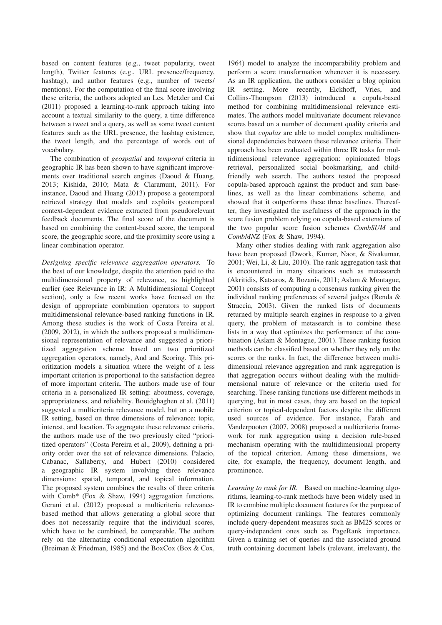based on content features (e.g., tweet popularity, tweet length), Twitter features (e.g., URL presence/frequency, hashtag), and author features (e.g., number of tweets/ mentions). For the computation of the final score involving these criteria, the authors adopted an Lcs. Metzler and Cai (2011) proposed a learning-to-rank approach taking into account a textual similarity to the query, a time difference between a tweet and a query, as well as some tweet content features such as the URL presence, the hashtag existence, the tweet length, and the percentage of words out of vocabulary.

The combination of *geospatial* and *temporal* criteria in geographic IR has been shown to have significant improvements over traditional search engines (Daoud & Huang, 2013; Kishida, 2010; Mata & Claramunt, 2011). For instance, Daoud and Huang (2013) propose a geotemporal retrieval strategy that models and exploits geotemporal context-dependent evidence extracted from pseudorelevant feedback documents. The final score of the document is based on combining the content-based score, the temporal score, the geographic score, and the proximity score using a linear combination operator.

*Designing specific relevance aggregation operators.* To the best of our knowledge, despite the attention paid to the multidimensional property of relevance, as highlighted earlier (see Relevance in IR: A Multidimensional Concept section), only a few recent works have focused on the design of appropriate combination operators to support multidimensional relevance-based ranking functions in IR. Among these studies is the work of Costa Pereira et al. (2009, 2012), in which the authors proposed a multidimensional representation of relevance and suggested a prioritized aggregation scheme based on two prioritized aggregation operators, namely, And and Scoring. This prioritization models a situation where the weight of a less important criterion is proportional to the satisfaction degree of more important criteria. The authors made use of four criteria in a personalized IR setting: aboutness, coverage, appropriateness, and reliability. Bouidghaghen et al. (2011) suggested a multicriteria relevance model, but on a mobile IR setting, based on three dimensions of relevance: topic, interest, and location. To aggregate these relevance criteria, the authors made use of the two previously cited "prioritized operators" (Costa Pereira et al., 2009), defining a priority order over the set of relevance dimensions. Palacio, Cabanac, Sallaberry, and Hubert (2010) considered a geographic IR system involving three relevance dimensions: spatial, temporal, and topical information. The proposed system combines the results of three criteria with Comb\* (Fox & Shaw, 1994) aggregation functions. Gerani et al. (2012) proposed a multicriteria relevancebased method that allows generating a global score that does not necessarily require that the individual scores, which have to be combined, be comparable. The authors rely on the alternating conditional expectation algorithm (Breiman & Friedman, 1985) and the BoxCox (Box & Cox,

1964) model to analyze the incomparability problem and perform a score transformation whenever it is necessary. As an IR application, the authors consider a blog opinion IR setting. More recently, Eickhoff, Vries, and Collins-Thompson (2013) introduced a copula-based method for combining multidimensional relevance estimates. The authors model multivariate document relevance scores based on a number of document quality criteria and show that *copulas* are able to model complex multidimensional dependencies between these relevance criteria. Their approach has been evaluated within three IR tasks for multidimensional relevance aggregation: opinionated blogs retrieval, personalized social bookmarking, and childfriendly web search. The authors tested the proposed copula-based approach against the product and sum baselines, as well as the linear combinations scheme, and showed that it outperforms these three baselines. Thereafter, they investigated the usefulness of the approach in the score fusion problem relying on copula-based extensions of the two popular score fusion schemes *CombSUM* and *CombMNZ* (Fox & Shaw, 1994).

Many other studies dealing with rank aggregation also have been proposed (Dwork, Kumar, Naor, & Sivakumar, 2001; Wei, Li, & Liu, 2010). The rank aggregation task that is encountered in many situations such as metasearch (Akritidis, Katsaros, & Bozanis, 2011; Aslam & Montague, 2001) consists of computing a consensus ranking given the individual ranking preferences of several judges (Renda & Straccia, 2003). Given the ranked lists of documents returned by multiple search engines in response to a given query, the problem of metasearch is to combine these lists in a way that optimizes the performance of the combination (Aslam & Montague, 2001). These ranking fusion methods can be classified based on whether they rely on the scores or the ranks. In fact, the difference between multidimensional relevance aggregation and rank aggregation is that aggregation occurs without dealing with the multidimensional nature of relevance or the criteria used for searching. These ranking functions use different methods in querying, but in most cases, they are based on the topical criterion or topical-dependent factors despite the different used sources of evidence. For instance, Farah and Vanderpooten (2007, 2008) proposed a multicriteria framework for rank aggregation using a decision rule-based mechanism operating with the multidimensional property of the topical criterion. Among these dimensions, we cite, for example, the frequency, document length, and prominence.

*Learning to rank for IR.* Based on machine-learning algorithms, learning-to-rank methods have been widely used in IR to combine multiple document features for the purpose of optimizing document rankings. The features commonly include query-dependent measures such as BM25 scores or query-independent ones such as PageRank importance. Given a training set of queries and the associated ground truth containing document labels (relevant, irrelevant), the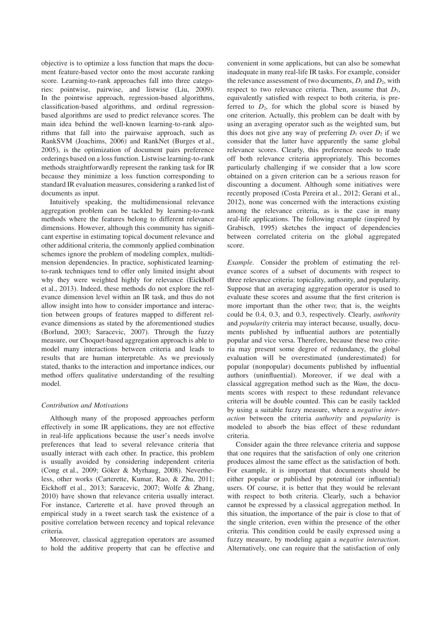objective is to optimize a loss function that maps the document feature-based vector onto the most accurate ranking score. Learning-to-rank approaches fall into three categories: pointwise, pairwise, and listwise (Liu, 2009). In the pointwise approach, regression-based algorithms, classification-based algorithms, and ordinal regressionbased algorithms are used to predict relevance scores. The main idea behind the well-known learning-to-rank algorithms that fall into the pairwaise approach, such as RankSVM (Joachims, 2006) and RankNet (Burges et al., 2005), is the optimization of document pairs preference orderings based on a loss function. Listwise learning-to-rank methods straightforwardly represent the ranking task for IR because they minimize a loss function corresponding to standard IR evaluation measures, considering a ranked list of documents as input.

Intuitively speaking, the multidimensional relevance aggregation problem can be tackled by learning-to-rank methods where the features belong to different relevance dimensions. However, although this community has significant expertise in estimating topical document relevance and other additional criteria, the commonly applied combination schemes ignore the problem of modeling complex, multidimension dependencies. In practice, sophisticated learningto-rank techniques tend to offer only limited insight about why they were weighted highly for relevance (Eickhoff et al., 2013). Indeed, these methods do not explore the relevance dimension level within an IR task, and thus do not allow insight into how to consider importance and interaction between groups of features mapped to different relevance dimensions as stated by the aforementioned studies (Borlund, 2003; Saracevic, 2007). Through the fuzzy measure, our Choquet-based aggregation approach is able to model many interactions between criteria and leads to results that are human interpretable. As we previously stated, thanks to the interaction and importance indices, our method offers qualitative understanding of the resulting model.

#### *Contribution and Motivations*

Although many of the proposed approaches perform effectively in some IR applications, they are not effective in real-life applications because the user's needs involve preferences that lead to several relevance criteria that usually interact with each other. In practice, this problem is usually avoided by considering independent criteria (Cong et al., 2009; Göker & Myrhaug, 2008). Nevertheless, other works (Carterette, Kumar, Rao, & Zhu, 2011; Eickhoff et al., 2013; Saracevic, 2007; Wolfe & Zhang, 2010) have shown that relevance criteria usually interact. For instance, Carterette et al. have proved through an empirical study in a tweet search task the existence of a positive correlation between recency and topical relevance criteria.

Moreover, classical aggregation operators are assumed to hold the additive property that can be effective and

convenient in some applications, but can also be somewhat inadequate in many real-life IR tasks. For example, consider the relevance assessment of two documents,  $D_1$  and  $D_2$ , with respect to two relevance criteria. Then, assume that  $D_1$ , equivalently satisfied with respect to both criteria, is preferred to  $D_2$ , for which the global score is biased by one criterion. Actually, this problem can be dealt with by using an averaging operator such as the weighted sum, but this does not give any way of preferring  $D_1$  over  $D_2$  if we consider that the latter have apparently the same global relevance scores. Clearly, this preference needs to trade off both relevance criteria appropriately. This becomes particularly challenging if we consider that a low score obtained on a given criterion can be a serious reason for discounting a document. Although some initiatives were recently proposed (Costa Pereira et al., 2012; Gerani et al., 2012), none was concerned with the interactions existing among the relevance criteria, as is the case in many real-life applications. The following example (inspired by Grabisch, 1995) sketches the impact of dependencies between correlated criteria on the global aggregated score.

*Example.* Consider the problem of estimating the relevance scores of a subset of documents with respect to three relevance criteria: topicality, authority, and popularity. Suppose that an averaging aggregation operator is used to evaluate these scores and assume that the first criterion is more important than the other two; that is, the weights could be 0.4, 0.3, and 0.3, respectively. Clearly, *authority* and *popularity* criteria may interact because, usually, documents published by influential authors are potentially popular and vice versa. Therefore, because these two criteria may present some degree of redundancy, the global evaluation will be overestimated (underestimated) for popular (nonpopular) documents published by influential authors (uninfluential). Moreover, if we deal with a classical aggregation method such as the *Wam*, the documents scores with respect to these redundant relevance criteria will be double counted. This can be easily tackled by using a suitable fuzzy measure, where a *negative interaction* between the criteria *authority* and *popularity* is modeled to absorb the bias effect of these redundant criteria.

Consider again the three relevance criteria and suppose that one requires that the satisfaction of only one criterion produces almost the same effect as the satisfaction of both. For example, it is important that documents should be either popular or published by potential (or influential) users. Of course, it is better that they would be relevant with respect to both criteria. Clearly, such a behavior cannot be expressed by a classical aggregation method. In this situation, the importance of the pair is close to that of the single criterion, even within the presence of the other criteria. This condition could be easily expressed using a fuzzy measure, by modeling again a *negative interaction*. Alternatively, one can require that the satisfaction of only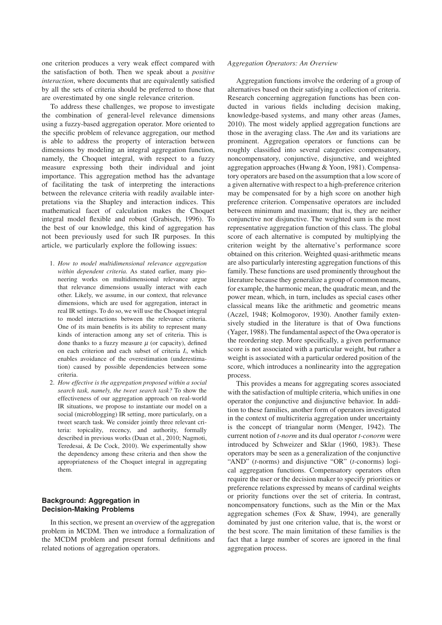one criterion produces a very weak effect compared with the satisfaction of both. Then we speak about a *positive interaction*, where documents that are equivalently satisfied by all the sets of criteria should be preferred to those that are overestimated by one single relevance criterion.

To address these challenges, we propose to investigate the combination of general-level relevance dimensions using a fuzzy-based aggregation operator. More oriented to the specific problem of relevance aggregation, our method is able to address the property of interaction between dimensions by modeling an integral aggregation function, namely, the Choquet integral, with respect to a fuzzy measure expressing both their individual and joint importance. This aggregation method has the advantage of facilitating the task of interpreting the interactions between the relevance criteria with readily available interpretations via the Shapley and interaction indices. This mathematical facet of calculation makes the Choquet integral model flexible and robust (Grabisch, 1996). To the best of our knowledge, this kind of aggregation has not been previously used for such IR purposes. In this article, we particularly explore the following issues:

- 1. *How to model multidimensional relevance aggregation within dependent criteria.* As stated earlier, many pioneering works on multidimensional relevance argue that relevance dimensions usually interact with each other. Likely, we assume, in our context, that relevance dimensions, which are used for aggregation, interact in real IR settings. To do so, we will use the Choquet integral to model interactions between the relevance criteria. One of its main benefits is its ability to represent many kinds of interaction among any set of criteria. This is done thanks to a fuzzy measure  $\mu$  (or capacity), defined on each criterion and each subset of criteria *Ii*, which enables avoidance of the overestimation (underestimation) caused by possible dependencies between some criteria.
- 2. *How effective is the aggregation proposed within a social search task, namely, the tweet search task?* To show the effectiveness of our aggregation approach on real-world IR situations, we propose to instantiate our model on a social (microblogging) IR setting, more particularly, on a tweet search task. We consider jointly three relevant criteria: topicality, recency, and authority, formally described in previous works (Duan et al., 2010; Nagmoti, Teredesai, & De Cock, 2010). We experimentally show the dependency among these criteria and then show the appropriateness of the Choquet integral in aggregating them.

# **Background: Aggregation in Decision-Making Problems**

In this section, we present an overview of the aggregation problem in MCDM. Then we introduce a formalization of the MCDM problem and present formal definitions and related notions of aggregation operators.

### *Aggregation Operators: An Overview*

Aggregation functions involve the ordering of a group of alternatives based on their satisfying a collection of criteria. Research concerning aggregation functions has been conducted in various fields including decision making, knowledge-based systems, and many other areas (James, 2010). The most widely applied aggregation functions are those in the averaging class. The *Am* and its variations are prominent. Aggregation operators or functions can be roughly classified into several categories: compensatory, noncompensatory, conjunctive, disjunctive, and weighted aggregation approaches (Hwang & Yoon, 1981). Compensatory operators are based on the assumption that a low score of a given alternative with respect to a high-preference criterion may be compensated for by a high score on another high preference criterion. Compensative operators are included between minimum and maximum; that is, they are neither conjunctive nor disjunctive. The weighted sum is the most representative aggregation function of this class. The global score of each alternative is computed by multiplying the criterion weight by the alternative's performance score obtained on this criterion. Weighted quasi-arithmetic means are also particularly interesting aggregation functions of this family. These functions are used prominently throughout the literature because they generalize a group of common means, for example, the harmonic mean, the quadratic mean, and the power mean, which, in turn, includes as special cases other classical means like the arithmetic and geometric means (Aczel, 1948; Kolmogorov, 1930). Another family extensively studied in the literature is that of Owa functions (Yager, 1988). The fundamental aspect of the Owa operator is the reordering step. More specifically, a given performance score is not associated with a particular weight, but rather a weight is associated with a particular ordered position of the score, which introduces a nonlinearity into the aggregation process.

This provides a means for aggregating scores associated with the satisfaction of multiple criteria, which unifies in one operator the conjunctive and disjunctive behavior. In addition to these families, another form of operators investigated in the context of multicriteria aggregation under uncertainty is the concept of triangular norm (Menger, 1942). The current notion of *t-norm* and its dual operator *t-conorm* were introduced by Schweizer and Sklar (1960, 1983). These operators may be seen as a generalization of the conjunctive "AND" (*t*-norms) and disjunctive "OR" (*t*-conorms) logical aggregation functions. Compensatory operators often require the user or the decision maker to specify priorities or preference relations expressed by means of cardinal weights or priority functions over the set of criteria. In contrast, noncompensatory functions, such as the Min or the Max aggregation schemes (Fox & Shaw, 1994), are generally dominated by just one criterion value, that is, the worst or the best score. The main limitation of these families is the fact that a large number of scores are ignored in the final aggregation process.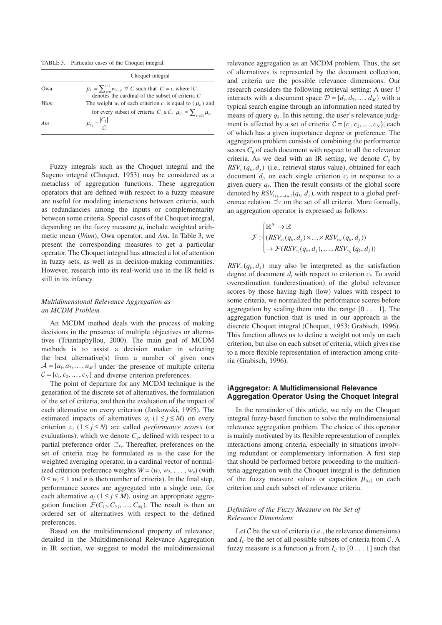TABLE 3. Particular cases of the Choquet integral.

|     | Choquet integral                                                                                                                       |
|-----|----------------------------------------------------------------------------------------------------------------------------------------|
| Owa | $\mu_C = \sum_{j=0}^{i-1} w_{n-j}$ , $\forall C$ such that $ C  = i$ , where $ C $<br>denotes the cardinal of the subset of criteria C |
| Wam | The weight $w_i$ of each criterion $c_i$ is equal to ( $\mu_{ci}$ ) and                                                                |
|     | for every subset of criteria $C_1 \in \mathcal{C}$ , $\mu_{C_1} = \sum_{c \in C_1} \mu_{c_i}$                                          |
| Am  | $\mu_{C_1} = \frac{ C_1 }{ C }$                                                                                                        |

Fuzzy integrals such as the Choquet integral and the Sugeno integral (Choquet, 1953) may be considered as a metaclass of aggregation functions. These aggregation operators that are defined with respect to a fuzzy measure are useful for modeling interactions between criteria, such as redundancies among the inputs or complementarity between some criteria. Special cases of the Choquet integral, depending on the fuzzy measure  $\mu$ , include weighted arithmetic mean (*Wam*), Owa operator, and *Am*. In Table 3, we present the corresponding measures to get a particular operator. The Choquet integral has attracted a lot of attention in fuzzy sets, as well as in decision-making communities. However, research into its real-world use in the IR field is still in its infancy.

# *Multidimensional Relevance Aggregation as an MCDM Problem*

An MCDM method deals with the process of making decisions in the presence of multiple objectives or alternatives (Triantaphyllou, 2000). The main goal of MCDM methods is to assist a decision maker in selecting the best alternative(s) from a number of given ones  $A = \{a_1, a_2, \dots, a_M\}$  under the presence of multiple criteria  $C = \{c_1, c_2, \dots, c_N\}$  and diverse criterion preferences.

The point of departure for any MCDM technique is the generation of the discrete set of alternatives, the formulation of the set of criteria, and then the evaluation of the impact of each alternative on every criterion (Jankowski, 1995). The estimated impacts of alternatives  $a_i$  ( $1 \le j \le M$ ) on every criterion  $c_i$  ( $1 \leq j \leq N$ ) are called *performance scores* (or evaluations), which we denote  $C_{ij}$ , defined with respect to a partial preference order  $\preceq_{c_i}$ . Thereafter, preferences on the set of criteria may be formulated as is the case for the weighted averaging operator, in a cardinal vector of normalized criterion preference weights  $W = (w_1, w_2, \ldots, w_n)$  (with  $0 \leq w_i \leq 1$  and *n* is then number of criteria). In the final step, performance scores are aggregated into a single one, for each alternative  $a_j$  ( $1 \le j \le M$ ), using an appropriate aggregation function  $\mathcal{F}(C_1, C_2, \ldots, C_{N_i})$ . The result is then an ordered set of alternatives with respect to the defined preferences.

Based on the multidimensional property of relevance, detailed in the Multidimensional Relevance Aggregation in IR section, we suggest to model the multidimensional relevance aggregation as an MCDM problem. Thus, the set of alternatives is represented by the document collection, and criteria are the possible relevance dimensions. Our research considers the following retrieval setting: A user *U* interacts with a document space  $\mathcal{D} = \{d_1, d_2, \dots, d_M\}$  with a typical search engine through an information need stated by means of query  $q_k$ . In this setting, the user's relevance judgment is affected by a set of criteria  $C = \{c_1, c_2, \ldots, c_N\}$ , each of which has a given importance degree or preference. The aggregation problem consists of combining the performance scores  $C_{ij}$  of each document with respect to all the relevance criteria. As we deal with an IR setting, we denote  $C_{ij}$  by  $RSV_{c_i}(q_k, d_j)$  (i.e., retrieval status value), obtained for each document  $d_i$ , on each single criterion  $c_i$  in response to a given query  $q_k$ . Then the result consists of the global score denoted by  $RSV_{\{c_1,...,c_N\}}(q_k, d_j)$ , with respect to a global preference relation  $\preceq_c$  on the set of all criteria. More formally, an aggregation operator is expressed as follows:

$$
\mathcal{F}: \begin{cases} \mathbb{R}^N \to \mathbb{R} \\ (RSV_{c_1}(q_k, d_j) \times \ldots \times RSV_{c_N}(q_k, d_j)) \\ \to \mathcal{F}(RSV_{c_1}(q_k, d_j), \ldots, RSV_{c_N}(q_k, d_j)) \end{cases}
$$

 $RSV_{c_i}(q_k, d_j)$  may also be interpreted as the satisfaction degree of document  $d_i$  with respect to criterion  $c_i$ . To avoid overestimation (underestimation) of the global relevance scores by those having high (low) values with respect to some criteria, we normalized the performance scores before aggregation by scaling them into the range  $[0 \dots 1]$ . The aggregation function that is used in our approach is the discrete Choquet integral (Choquet, 1953; Grabisch, 1996). This function allows us to define a weight not only on each criterion, but also on each subset of criteria, which gives rise to a more flexible representation of interaction among criteria (Grabisch, 1996).

# **iAggregator: A Multidimensional Relevance Aggregation Operator Using the Choquet Integral**

In the remainder of this article, we rely on the Choquet integral fuzzy-based function to solve the multidimensional relevance aggregation problem. The choice of this operator is mainly motivated by its flexible representation of complex interactions among criteria, especially in situations involving redundant or complementary information. A first step that should be performed before proceeding to the multicriteria aggregation with the Choquet integral is the definition of the fuzzy measure values or capacities  $\mu_{c_i}$  on each criterion and each subset of relevance criteria.

# *Definition of the Fuzzy Measure on the Set of Relevance Dimensions*

Let  $C$  be the set of criteria (i.e., the relevance dimensions) and  $I_c$  be the set of all possible subsets of criteria from  $C$ . A fuzzy measure is a function  $\mu$  from  $I_c$  to  $[0 \ldots 1]$  such that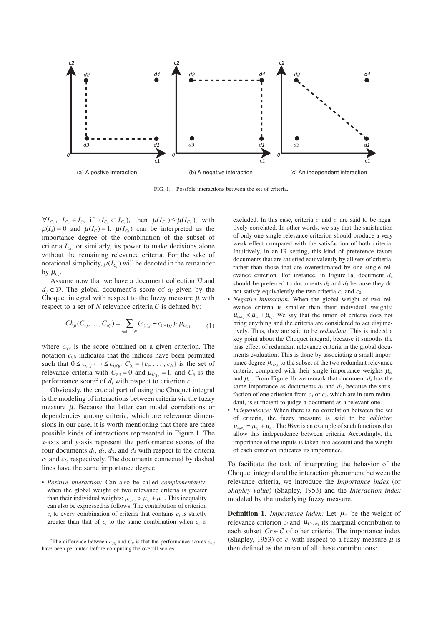

FIG. 1. Possible interactions between the set of criteria.

 $\forall I_{C_1}, I_{C_2} \in I_C$ , if  $(I_{C_1} \subseteq I_{C_2})$ , then  $\mu(I_{C_1}) \leq \mu(I_{C_2})$ , with  $\mu(I_{\emptyset}) = 0$  and  $\mu(I_{\emptyset}) = 1$ .  $\mu(I_{C_i})$  can be interpreted as the importance degree of the combination of the subset of criteria  $I_{C_i}$ , or similarly, its power to make decisions alone without the remaining relevance criteria. For the sake of notational simplicity,  $\mu(I_{C_i})$  will be denoted in the remainder by  $\mu_{C_i}$ .

Assume now that we have a document collection  $D$  and  $d_i \in \mathcal{D}$ . The global document's score of  $d_i$  given by the Choquet integral with respect to the fuzzy measure  $\mu$  with respect to a set of  $N$  relevance criteria  $C$  is defined by:

$$
Ch_{\mu}(C_{1j},\ldots,C_{Nj})=\sum_{i=1,\ldots,N}(c_{(i)j}-c_{(i-1)j})\cdot\mu_{C_{(i)}}\qquad(1)
$$

where  $c_{(i)j}$  is the score obtained on a given criterion. The notation  $c_{(·)}$  indicates that the indices have been permuted such that  $0 \leq c_{(1)j} \cdots \leq c_{(N)j}$ .  $C_{(i)} = \{c_i, \ldots, c_N\}$  is the set of relevance criteria with  $C_{(0)} = 0$  and  $\mu_{C_{(1)}} = 1$ , and  $C_{ij}$  is the performance score<sup>2</sup> of  $d_j$  with respect to criterion  $c_i$ .

Obviously, the crucial part of using the Choquet integral is the modeling of interactions between criteria via the fuzzy measure  $\mu$ . Because the latter can model correlations or dependencies among criteria, which are relevance dimensions in our case, it is worth mentioning that there are three possible kinds of interactions represented in Figure 1. The *x*-axis and *y*-axis represent the performance scores of the four documents  $d_1$ ,  $d_2$ ,  $d_3$ , and  $d_4$  with respect to the criteria *c*<sup>1</sup> and *c*2, respectively. The documents connected by dashed lines have the same importance degree.

• *Positive interaction:* Can also be called *complementarity*; when the global weight of two relevance criteria is greater than their individual weights:  $\mu_{c_i,c_j} > \mu_{c_i} + \mu_{c_j}$ . This inequality can also be expressed as follows: The contribution of criterion  $c_i$  to every combination of criteria that contains  $c_i$  is strictly greater than that of  $c_i$  to the same combination when  $c_i$  is

excluded. In this case, criteria  $c_i$  and  $c_j$  are said to be negatively correlated. In other words, we say that the satisfaction of only one single relevance criterion should produce a very weak effect compared with the satisfaction of both criteria. Intuitively, in an IR setting, this kind of preference favors documents that are satisfied equivalently by all sets of criteria, rather than those that are overestimated by one single relevance criterion. For instance, in Figure 1a, document *d*<sup>4</sup> should be preferred to documents  $d_2$  and  $d_3$  because they do not satisfy equivalently the two criteria  $c_1$  and  $c_2$ .

- *Negative interaction:* When the global weight of two relevance criteria is smaller than their individual weights:  $\mu_{c_i,c_i} < \mu_{c_i} + \mu_{c_i}$ . We say that the union of criteria does not bring anything and the criteria are considered to act disjunctively. Thus, they are said to be *redundant*. This is indeed a key point about the Choquet integral, because it smooths the bias effect of redundant relevance criteria in the global documents evaluation. This is done by associating a small importance degree  $\mu_{c_i,c_j}$  to the subset of the two redundant relevance criteria, compared with their single importance weights  $\mu_c$ and  $\mu_{c}$ . From Figure 1b we remark that document  $d_4$  has the same importance as documents  $d_2$  and  $d_3$ , because the satisfaction of one criterion from  $c_1$  or  $c_2$ , which are in turn redundant, is sufficient to judge a document as a relevant one.
- *Independence:* When there is no correlation between the set of criteria, the fuzzy measure is said to be *additive*:  $\mu_{c_i, c_j} = \mu_{c_i} + \mu_{c_j}$ . The *Wam* is an example of such functions that allow this independence between criteria. Accordingly, the importance of the inputs is taken into account and the weight of each criterion indicates its importance.

To facilitate the task of interpreting the behavior of the Choquet integral and the interaction phenomena between the relevance criteria, we introduce the *Importance index* (or *Shapley value*) (Shapley, 1953) and the *Interaction index* modeled by the underlying fuzzy measure.

**Definition 1.** *Importance index:* Let  $\mu_{c_i}$  be the weight of relevance criterion  $c_i$  and  $\mu_{Cr\cup c_i}$  its marginal contribution to each subset  $Cr \in \mathcal{C}$  of other criteria. The importance index (Shapley, 1953) of  $c_i$  with respect to a fuzzy measure  $\mu$  is then defined as the mean of all these contributions:

<sup>&</sup>lt;sup>2</sup>The difference between  $c_{(i)}$  and  $C_{ii}$  is that the performance scores  $c_{(i)}$ have been permuted before computing the overall scores.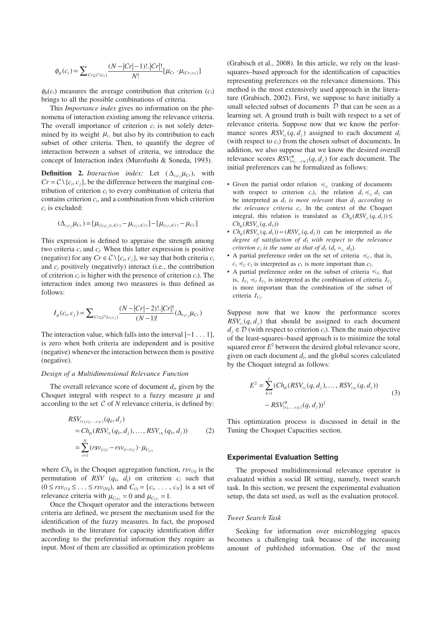$$
\phi_{\mu}(c_i) = \sum_{Cr \subseteq C \setminus \{c_i\}} \frac{(N - |Cr| - 1)!}{N!} [\mu_{Cr} \cdot \mu_{(Cr \cup c_i)}]
$$

 $\phi_{\mu}(c_i)$  measures the average contribution that criterion  $(c_i)$ brings to all the possible combinations of criteria.

This *Importance index* gives no information on the phenomena of interaction existing among the relevance criteria. The overall importance of criterion  $c_i$  is not solely determined by its weight  $\mu_c$  but also by its contribution to each subset of other criteria. Then, to quantify the degree of interaction between a subset of criteria, we introduce the concept of Interaction index (Murofushi & Soneda, 1993).

**Definition 2.** *Interaction index:* Let  $(\Delta_{cc} \mu_{Cr})$ , with  $Cr = C \setminus \{c_i, c_j\}$ , be the difference between the marginal contribution of criterion  $c_j$  to every combination of criteria that contains criterion *ci*, and a combination from which criterion *c<sup>i</sup>* is excluded:

$$
(\Delta_{c_ic_j}\mu_{Cr}) = [\mu_{(\{c_ic_j\}\cup Cr)} - \mu_{(c_i\cup Cr)}] - [\mu_{(c_i\cup Cr)} - \mu_{Cr}]
$$

This expression is defined to appraise the strength among two criteria  $c_i$  and  $c_j$ . When this latter expression is positive (negative) for any  $Cr \in \mathcal{C} \setminus \{c_i, c_j\}$ , we say that both criteria  $c_i$ and  $c_i$  positively (negatively) interact (i.e., the contribution of criterion  $c_i$  is higher with the presence of criterion  $c_i$ ). The interaction index among two measures is thus defined as follows:

$$
I_{\mu}(c_i, c_j) = \sum_{Cr \subseteq C \setminus \{c_i, c_j\}} \frac{(N - |Cr| - 2)!}{(N - 1)!} (\Delta_{c_i c_j} \mu_{Cr})
$$

The interaction value, which falls into the interval [−1 . . . 1], is zero when both criteria are independent and is positive (negative) whenever the interaction between them is positive (negative).

#### *Design of a Multidimensional Relevance Function*

The overall relevance score of document  $d_j$ , given by the Choquet integral with respect to a fuzzy measure  $\mu$  and according to the set  $C$  of  $N$  relevance criteria, is defined by:

$$
RSV_{(c_1, c_2, ..., c_N)}(q_k, d_j)
$$
  
=  $Ch_\mu(RSV_{c_1}(q_k, d_j), ..., RSV_{c_N}(q_k, d_j))$  (2)  
=  $\sum_{i=1}^N (rsv_{(i)j} - rsv_{(i-1)j}) \cdot \mu_{C_{(i)}}$ 

where  $Ch_{\mu}$  is the Choquet aggregation function,  $rsv_{(i)j}$  is the permutation of *RSV*  $(q_k, d_j)$  on criterion  $c_i$  such that  $(0 \leq rsv_{(1)j} \leq \ldots \leq rsv_{(N)j})$ , and  $C_{(i)} = \{c_i, \ldots, c_N\}$  is a set of relevance criteria with  $\mu_{C_{(0)}} = 0$  and  $\mu_{C_{(1)}} = 1$ .

Once the Choquet operator and the interactions between criteria are defined, we present the mechanism used for the identification of the fuzzy measures. In fact, the proposed methods in the literature for capacity identification differ according to the preferential information they require as input. Most of them are classified as optimization problems

(Grabisch et al., 2008). In this article, we rely on the leastsquares–based approach for the identification of capacities representing preferences on the relevance dimensions. This method is the most extensively used approach in the literature (Grabisch, 2002). First, we suppose to have initially a small selected subset of documents  $D$  that can be seen as a learning set. A ground truth is built with respect to a set of relevance criteria. Suppose now that we know the performance scores  $RSV_{c_i}(q, d_j)$  assigned to each document  $d_j$ (with respect to *ci*) from the chosen subset of documents. In addition, we also suppose that we know the desired overall relevance scores  $RSV_{(c_1,...,c_N)}^*(q, d_j)$  for each document. The initial preferences can be formalized as follows:

- Given the partial order relation  $\preccurlyeq_{c_i}$  (ranking of documents with respect to criterion  $c_i$ ), the relation  $d_1 \preccurlyeq_{c_i} d_2$  can be interpreted as  $d_1$  *is more relevant than*  $d_2$  *according to the relevance criteria ci*. In the context of the Choquet integral, this relation is translated as  $Ch_{\mu}(RSV_{c_i}(q, d_1)) \leq$  $Ch_{\mu}(RSV_{c_i}(q, d_2))$
- $Ch_u(RSV_{ci}(q, d_1)) \simeq (RSV_{ci}(q, d_2))$  can be interpreted as *the degree of satisfaction of d*<sup>2</sup> *with respect to the relevance criterion*  $c_i$  *is the same as that of*  $d_1$  ( $d_1 \approx c_i$   $d_2$ ).
- A partial preference order on the set of criteria  $\preccurlyeq_c$ , that is,  $c_1 \preccurlyeq_c c_2$  is interpreted as  $c_1$  is more important than  $c_2$ .
- A partial preference order on the subset of criteria ≼*I*, that is,  $I_{C_1} \preccurlyeq_I I_{C_2}$  is interpreted as the combination of criteria  $I_{C_2}$ is more important than the combination of the subset of criteria  $I_{C_1}$ .

Suppose now that we know the performance scores  $RSV_{c_i}(q, d_j)$  that should be assigned to each document  $d_i \in \mathcal{D}$  (with respect to criterion *c<sub>i</sub>*). Then the main objective of the least-squares–based approach is to minimize the total squared error  $E<sup>2</sup>$  between the desired global relevance score, given on each document *dj*, and the global scores calculated by the Choquet integral as follows:

$$
E^{2} = \sum_{k=1}^{l} (Ch_{\mu}(RSV_{c_{1}}(q, d_{j}), ..., RSV_{c_{N}}(q, d_{j})) - RSV_{(1, ..., c_{N})}^{*}(q, d_{j}))^{2}
$$
\n(3)

This optimization process is discussed in detail in the Tuning the Choquet Capacities section.

### **Experimental Evaluation Setting**

The proposed multidimensional relevance operator is evaluated within a social IR setting, namely, tweet search task. In this section, we present the experimental evaluation setup, the data set used, as well as the evaluation protocol.

#### *Tweet Search Task*

Seeking for information over microblogging spaces becomes a challenging task because of the increasing amount of published information. One of the most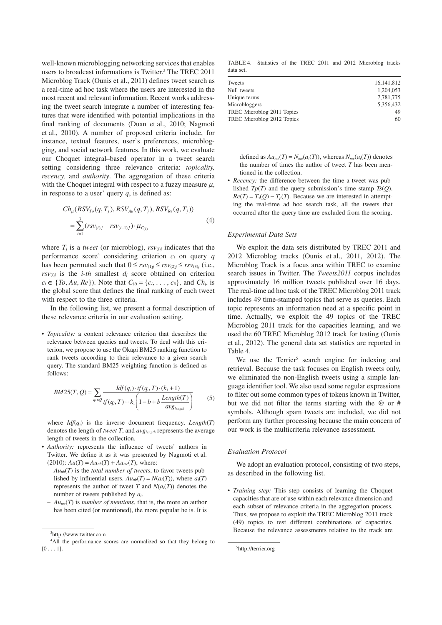well-known microblogging networking services that enables users to broadcast informations is Twitter.<sup>3</sup> The TREC 2011 Microblog Track (Ounis et al., 2011) defines tweet search as a real-time ad hoc task where the users are interested in the most recent and relevant information. Recent works addressing the tweet search integrate a number of interesting features that were identified with potential implications in the final ranking of documents (Duan et al., 2010; Nagmoti et al., 2010). A number of proposed criteria include, for instance, textual features, user's preferences, microblogging, and social network features. In this work, we evaluate our Choquet integral–based operator in a tweet search setting considering three relevance criteria: *topicality, recency,* and *authority*. The aggregation of these criteria with the Choquet integral with respect to a fuzzy measure  $\mu$ , in response to a user' query  $q$ , is defined as:

$$
Ch_{\mu}(RSV_{To}(q, T_j), RSV_{Au}(q, T_j), RSV_{Re}(q, T_j))
$$
  
= 
$$
\sum_{i=1}^{3} (rsv_{(i)j} - rsv_{(i-1)j}) \cdot \mu_{C_{(i)}}
$$
 (4)

where  $T_i$  is a *tweet* (or microblog),  $rsv_{(i)}$  indicates that the performance score<sup>4</sup> considering criterion  $c_i$  on query  $q$ has been permuted such that  $0 \leq rsv_{(1)j} \leq rsv_{(2)j} \leq rsv_{(3)j}$  (i.e.,  $rsv_{(i)j}$  is the *i-th* smallest  $d_j$  score obtained on criterion  $c_i \in \{To, Au, Re\}$ ). Note that  $C_{(i)} = \{c_i, \ldots, c_3\}$ , and  $Ch_\mu$  is the global score that defines the final ranking of each tweet with respect to the three criteria.

In the following list, we present a formal description of these relevance criteria in our evaluation setting.

• *Topicality:* a content relevance criterion that describes the relevance between queries and tweets. To deal with this criterion, we propose to use the Okapi BM25 ranking function to rank tweets according to their relevance to a given search query. The standard BM25 weighting function is defined as follows:

$$
BM25(T, Q) = \sum_{q_i \in Q} \frac{Idf(q_i) \cdot tf(q_i, T) \cdot (k_1 + 1)}{tf(q_i, T) + k_1 \left(1 - b + b \frac{Length(T)}{avg_{length}}\right)}
$$
(5)

where  $Idf(q_i)$  is the inverse document frequency, *Length*(*T*) denotes the length of *tweet T*, and *avglength* represents the average length of tweets in the collection.

- *Authority:* represents the influence of tweets' authors in Twitter. We define it as it was presented by Nagmoti et al.  $(2010)$ :  $Au(T) = Au_{nb}(T) + Au_{me}(T)$ , where:
	- $Au<sub>nb</sub>(T)$  is the *total number of tweets*, to favor tweets published by influential users.  $Au_{nb}(T) = N(a_i(T))$ , where  $a_i(T)$ represents the author of tweet *T* and  $N(a_i(T))$  denotes the number of tweets published by *ai*.
	- *Aume*(*T*) is *number of mentions*, that is, the more an author has been cited (or mentioned), the more popular he is. It is

TABLE 4. Statistics of the TREC 2011 and 2012 Microblog tracks data set.

| Tweets                     | 16, 141, 812 |
|----------------------------|--------------|
| Null tweets                | 1,204,053    |
| Unique terms               | 7,781,775    |
| Microbloggers              | 5,356,432    |
| TREC Microblog 2011 Topics | 49           |
| TREC Microblog 2012 Topics | 60           |
|                            |              |

defined as  $Au_{me}(T) = N_{me}(a_i(T))$ , whereas  $N_{me}(a_i(T))$  denotes the number of times the author of tweet *T* has been mentioned in the collection.

• *Recency:* the difference between the time a tweet was published  $T_p(T)$  and the query submission's time stamp  $T_s(Q)$ .  $Re(T) = T_s(Q) - T_p(T)$ . Because we are interested in attempting the real-time ad hoc search task, all the tweets that occurred after the query time are excluded from the scoring.

#### *Experimental Data Sets*

We exploit the data sets distributed by TREC 2011 and 2012 Microblog tracks (Ounis et al., 2011, 2012). The Microblog Track is a focus area within TREC to examine search issues in Twitter. The *Tweets2011* corpus includes approximately 16 million tweets published over 16 days. The real-time ad hoc task of the TREC Microblog 2011 track includes 49 time-stamped topics that serve as queries. Each topic represents an information need at a specific point in time. Actually, we exploit the 49 topics of the TREC Microblog 2011 track for the capacities learning, and we used the 60 TREC Microblog 2012 track for testing (Ounis et al., 2012). The general data set statistics are reported in Table 4.

We use the Terrier<sup>5</sup> search engine for indexing and retrieval. Because the task focuses on English tweets only, we eliminated the non-English tweets using a simple language identifier tool. We also used some regular expressions to filter out some common types of tokens known in Twitter, but we did not filter the terms starting with the @ or # symbols. Although spam tweets are included, we did not perform any further processing because the main concern of our work is the multicriteria relevance assessment.

#### *Evaluation Protocol*

We adopt an evaluation protocol, consisting of two steps, as described in the following list.

• *Training step:* This step consists of learning the Choquet capacities that are of use within each relevance dimension and each subset of relevance criteria in the aggregation process. Thus, we propose to exploit the TREC Microblog 2011 track (49) topics to test different combinations of capacities. Because the relevance assessments relative to the track are

http://www.twitter.com

<sup>4</sup>All the performance scores are normalized so that they belong to  $[0 \dots 1]$ .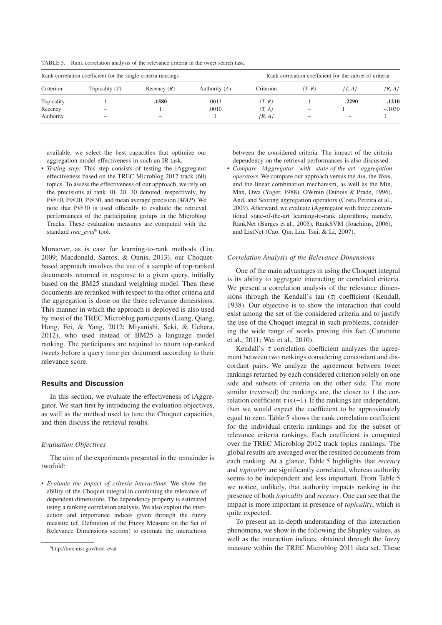| Rank correlation coefficient for the single criteria rankings |                  |                          |                 | Rank correlation coefficient for the subset of criteria |        |                          |            |
|---------------------------------------------------------------|------------------|--------------------------|-----------------|---------------------------------------------------------|--------|--------------------------|------------|
| Criterion                                                     | Topicality $(T)$ | Recency $(R)$            | Authority $(A)$ | Criterion                                               | {T. R} | {T. A}                   | $\{R, A\}$ |
| Topicality                                                    |                  | .1580                    | .0013           | $\{T, R\}$                                              |        | .2290                    | .1210      |
| Recency                                                       |                  |                          | .0010           | $\{T, A\}$                                              |        |                          | $-.1030$   |
| Authority                                                     |                  | $\overline{\phantom{m}}$ |                 | $\{R, A\}$                                              |        | $\overline{\phantom{m}}$ |            |

TABLE 5. Rank correlation analysis of the relevance criteria in the tweet search task.

available, we select the best capacities that optimize our aggregation model effectiveness in such an IR task.

• *Testing step:* This step consists of testing the iAggregator effectiveness based on the TREC Microblog 2012 track (60) topics. To assess the effectiveness of our approach, we rely on the precisions at rank 10, 20, 30 denoted, respectively, by P@10, P@20, P@30, and mean average precision (*MAP*). We note that P@30 is used officially to evaluate the retrieval performances of the participating groups in the Microblog Tracks. These evaluation measures are computed with the standard *trec*\_*eval*<sup>6</sup> tool.

Moreover, as is case for learning-to-rank methods (Liu, 2009; Macdonald, Santos, & Ounis, 2013), our Choquetbased approach involves the use of a sample of top-ranked documents returned in response to a given query, initially based on the BM25 standard weighting model. Then these documents are reranked with respect to the other criteria and the aggregation is done on the three relevance dimensions. This manner in which the approach is deployed is also used by most of the TREC Microblog participants (Liang, Qiang, Hong, Fei, & Yang, 2012; Miyanishi, Seki, & Uehara, 2012), who used instead of BM25 a language model ranking. The participants are required to return top-ranked tweets before a query time per document according to their relevance score.

# **Results and Discussion**

In this section, we evaluate the effectiveness of iAggregator. We start first by introducing the evaluation objectives, as well as the method used to tune the Choquet capacities, and then discuss the retrieval results.

# *Evaluation Objectives*

The aim of the experiments presented in the remainder is twofold:

• *Evaluate the impact of criteria interactions.* We show the ability of the Choquet integral in combining the relevance of dependent dimensions. The dependency property is estimated using a ranking correlation analysis. We also exploit the interaction and importance indices given through the fuzzy measure (cf. Definition of the Fuzzy Measure on the Set of Relevance Dimensions section) to estimate the interactions

between the considered criteria. The impact of the criteria dependency on the retrieval performances is also discussed.

• *Compare iAggregator with state-of-the-art aggregation operators.* We compare our approach versus the *Am*, the *Wam*, and the linear combination mechanism, as well as the Min, Max, Owa (Yager, 1988), OWmin (Dubois & Prade, 1996), And, and Scoring aggregation operators (Costa Pereira et al., 2009). Afterward, we evaluate iAggregator with three conventional state-of-the-art learning-to-rank algorithms, namely, RankNet (Burges et al., 2005), RankSVM (Joachims, 2006), and ListNet (Cao, Qin, Liu, Tsai, & Li, 2007).

#### *Correlation Analysis of the Relevance Dimensions*

One of the main advantages in using the Choquet integral is its ability to aggregate interacting or correlated criteria. We present a correlation analysis of the relevance dimensions through the Kendall's tau (*τ*) coefficient (Kendall, 1938). Our objective is to show the interaction that could exist among the set of the considered criteria and to justify the use of the Choquet integral in such problems, considering the wide range of works proving this fact (Carterette et al., 2011; Wei et al., 2010).

Kendall's *τ* correlation coefficient analyzes the agreement between two rankings considering concordant and discordant pairs. We analyze the agreement between tweet rankings returned by each considered criterion solely on one side and subsets of criteria on the other side. The more similar (reversed) the rankings are, the closer to 1 the correlation coefficient  $\tau$  is (-1). If the rankings are independent, then we would expect the coefficient to be approximately equal to zero. Table 5 shows the rank correlation coefficient for the individual criteria rankings and for the subset of relevance criteria rankings. Each coefficient is computed over the TREC Microblog 2012 track topics rankings. The global results are averaged over the resulted documents from each ranking. At a glance, Table 5 highlights that *recency* and *topicality* are significantly correlated, whereas authority seems to be independent and less important. From Table 5 we notice, unlikely, that authority impacts ranking in the presence of both *topicality* and *recency*. One can see that the impact is more important in presence of *topicality*, which is quite expected.

To present an in-depth understanding of this interaction phenomena, we show in the following the Shapley values, as well as the interaction indices, obtained through the fuzzy <sup>6</sup>http://trec.nist.gov/trec\_eval measure within the TREC Microblog 2011 data set. These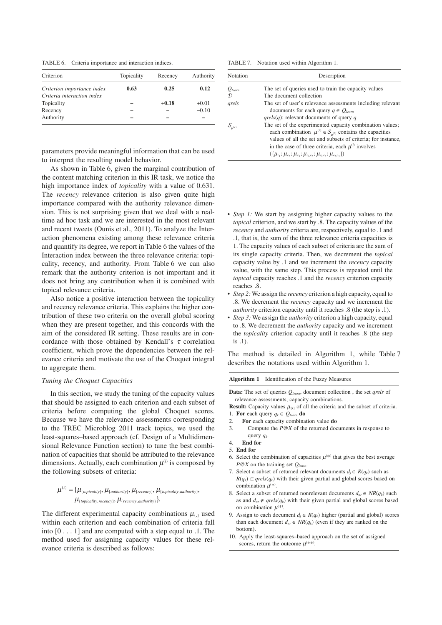TABLE 6. Criteria importance and interaction indices.

| Criterion                  | Topicality | Recency | Authority |
|----------------------------|------------|---------|-----------|
| Criterion importance index | 0.63       | 0.25    | 0.12      |
| Criteria interaction index |            |         |           |
| Topicality                 |            | $+0.18$ | $+0.01$   |
| Recency                    |            |         | $-0.10$   |
| Authority                  |            |         |           |

parameters provide meaningful information that can be used to interpret the resulting model behavior.

As shown in Table 6, given the marginal contribution of the content matching criterion in this IR task, we notice the high importance index of *topicality* with a value of 0.631. The *recency* relevance criterion is also given quite high importance compared with the authority relevance dimension. This is not surprising given that we deal with a realtime ad hoc task and we are interested in the most relevant and recent tweets (Ounis et al., 2011). To analyze the Interaction phenomena existing among these relevance criteria and quantify its degree, we report in Table 6 the values of the Interaction index between the three relevance criteria: topicality, recency, and authority. From Table 6 we can also remark that the authority criterion is not important and it does not bring any contribution when it is combined with topical relevance criteria.

Also notice a positive interaction between the topicality and recency relevance criteria. This explains the higher contribution of these two criteria on the overall global scoring when they are present together, and this concords with the aim of the considered IR setting. These results are in concordance with those obtained by Kendall's *τ* correlation coefficient, which prove the dependencies between the relevance criteria and motivate the use of the Choquet integral to aggregate them.

### *Tuning the Choquet Capacities*

In this section, we study the tuning of the capacity values that should be assigned to each criterion and each subset of criteria before computing the global Choquet scores. Because we have the relevance assessments corresponding to the TREC Microblog 2011 track topics, we used the least-squares–based approach (cf. Design of a Multidimensional Relevance Function section) to tune the best combination of capacities that should be attributed to the relevance dimensions. Actually, each combination  $\mu^{(i)}$  is composed by the following subsets of criteria:

# $\mu^{(i)} = \{\mu_{\{topically\}}, \mu_{\{authority\}}, \mu_{\{recency\}}, \mu_{\{topically, authority\}},\}$  $\mu_{\{top, \, \, \text{reconv}\}, \, \mu_{\{reconv, \, \, \text{authority}\}}\}.$

The different experimental capacity combinations  $\mu_{\{\cdot\}}$  used within each criterion and each combination of criteria fall into [0 . . . 1] and are computed with a step equal to .1. The method used for assigning capacity values for these relevance criteria is described as follows:

TABLE 7. Notation used within Algorithm 1.

| Notation                  | Description                                                                                                                                                                                                                                                    |
|---------------------------|----------------------------------------------------------------------------------------------------------------------------------------------------------------------------------------------------------------------------------------------------------------|
| $O_{learn}$               | The set of queries used to train the capacity values                                                                                                                                                                                                           |
| D                         | The document collection                                                                                                                                                                                                                                        |
| grels                     | The set of user's relevance assessments including relevant<br>documents for each query $q \in Q_{learn}$                                                                                                                                                       |
|                           | $qrels(q)$ : relevant documents of query q                                                                                                                                                                                                                     |
| $\mathcal{S}_{\mu^{(l)}}$ | The set of the experimented capacity combination values;<br>each combination $\mu^{(i)} \in S_{\mu^{(i)}}$ contains the capacities<br>values of all the set and subsets of criteria; for instance,<br>in the case of three criteria, each $\mu^{(i)}$ involves |
|                           | $(\{\mu_{c_1}; \mu_{c_2}; \mu_{c_3}; \mu_{c_4}; \mu_{c_4}; \mu_{c_5}; \mu_{c_6}; \})$                                                                                                                                                                          |

- *Step 1:* We start by assigning higher capacity values to the *topical* criterion, and we start by .8. The capacity values of the *recency* and *authority* criteria are, respectively, equal to .1 and .1, that is, the sum of the three relevance criteria capacities is 1. The capacity values of each subset of criteria are the sum of its single capacity criteria. Then, we decrement the *topical* capacity value by .1 and we increment the *recency* capacity value, with the same step. This process is repeated until the *topical* capacity reaches .1 and the *recency* criterion capacity reaches .8.
- *Step 2:*We assign the *recency* criterion a high capacity, equal to .8. We decrement the *recency* capacity and we increment the *authority* criterion capacity until it reaches .8 (the step is .1).
- *Step 3:* We assign the *authority* criterion a high capacity, equal to .8. We decrement the *authority* capacity and we increment the *topicality* criterion capacity until it reaches .8 (the step is .1).

The method is detailed in Algorithm 1, while Table 7 describes the notations used within Algorithm 1.

|                                                                                                                     | <b>Algorithm 1</b> Identification of the Fuzzy Measures |  |
|---------------------------------------------------------------------------------------------------------------------|---------------------------------------------------------|--|
| $\mathbf{D}_{\mathbf{z}}$ and $\mathbf{E}_{\mathbf{z}}$ and $\mathbf{E}_{\mathbf{z}}$ and $\mathbf{E}_{\mathbf{z}}$ |                                                         |  |

**Data:** The set of queries *Qlearn*, document collection , the set *qrels* of relevance assessments, capacity combinations.

**Result:** Capacity values  $\mu_{\{i\}}$  of all the criteria and the subset of criteria. 1. **For** each query  $q_k \in Q_{learn}$  **do** 

- 2. **For** each capacity combination value **do**
- 3. Compute the *P*@*X* of the returned documents in response to query *qk*.
- 4. **End for**
- 5. **End for**
- 6. Select the combination of capacities  $\mu^{(*)}$  that gives the best average *P*@*X* on the training set *Qlearn*.
- 7. Select a subset of returned relevant documents  $d_i \in R(q_k)$  such as  $R(q_k) \subset \text{qrels}(q_k)$  with their given partial and global scores based on combination  $\mu^{(*)}$ .
- 8. Select a subset of returned nonrelevant documents  $d_{nr} \in NR(q_k)$  such as and  $d_{nr} \notin qrels(q_k)$  with their given partial and global scores based on combination  $\mu^{(*)}$ .
- 9. Assign to each document  $d_i \in R(q_k)$  higher (partial and global) scores than each document  $d_{nr} \in NR(q_k)$  (even if they are ranked on the bottom).
- 10. Apply the least-squares–based approach on the set of assigned scores, return the outcome  $\mu$ <sup>(\*\*)</sup>.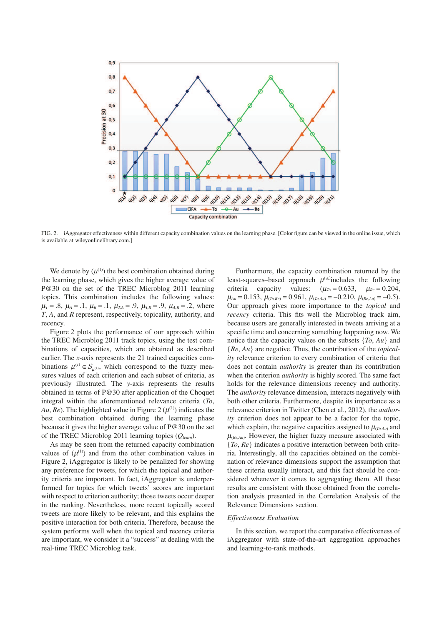

FIG. 2. iAggregator effectiveness within different capacity combination values on the learning phase. [Color figure can be viewed in the online issue, which is available at wileyonlinelibrary.com.]

We denote by  $(\mu^{(1)})$  the best combination obtained during the learning phase, which gives the higher average value of P@30 on the set of the TREC Microblog 2011 learning topics. This combination includes the following values:  $\mu_T = .8$ ,  $\mu_A = .1$ ,  $\mu_R = .1$ ,  $\mu_{TA} = .9$ ,  $\mu_{TR} = .9$ ,  $\mu_{AR} = .2$ , where *T*, *A*, and *R* represent, respectively, topicality, authority, and recency.

Figure 2 plots the performance of our approach within the TREC Microblog 2011 track topics, using the test combinations of capacities, which are obtained as described earlier. The *x*-axis represents the 21 trained capacities combinations  $\mu^{(i)} \in S_{\mu^{(i)}},$  which correspond to the fuzzy measures values of each criterion and each subset of criteria, as previously illustrated. The *y*-axis represents the results obtained in terms of P@30 after application of the Choquet integral within the aforementioned relevance criteria (*To*, *Au*, *Re*). The highlighted value in Figure 2  $(\mu^{(1)})$  indicates the best combination obtained during the learning phase because it gives the higher average value of P@30 on the set of the TREC Microblog 2011 learning topics (*Qlearn*).

As may be seen from the returned capacity combination values of  $(\mu^{(1)})$  and from the other combination values in Figure 2, iAggregator is likely to be penalized for showing any preference for tweets, for which the topical and authority criteria are important. In fact, iAggregator is underperformed for topics for which tweets' scores are important with respect to criterion authority; those tweets occur deeper in the ranking. Nevertheless, more recent topically scored tweets are more likely to be relevant, and this explains the positive interaction for both criteria. Therefore, because the system performs well when the topical and recency criteria are important, we consider it a "success" at dealing with the real-time TREC Microblog task.

Furthermore, the capacity combination returned by the least-squares–based approach  $\mu^{(*)}$  includes the following criteria capacity values:  $(\mu_{T_0} = 0.633, \mu_{Re} = 0.204,$  $\mu_{Au} = 0.153$ ,  $\mu_{(To,Re)} = 0.961$ ,  $\mu_{(To,Au)} = -0.210$ ,  $\mu_{(Re,Au)} = -0.5$ ). Our approach gives more importance to the *topical* and *recency* criteria. This fits well the Microblog track aim, because users are generally interested in tweets arriving at a specific time and concerning something happening now. We notice that the capacity values on the subsets {*To*, *Au*} and {*Re*, *Au*} are negative. Thus, the contribution of the *topicality* relevance criterion to every combination of criteria that does not contain *authority* is greater than its contribution when the criterion *authority* is highly scored. The same fact holds for the relevance dimensions recency and authority. The *authority* relevance dimension, interacts negatively with both other criteria. Furthermore, despite its importance as a relevance criterion in Twitter (Chen et al., 2012), the *authority* criterion does not appear to be a factor for the topic, which explain, the negative capacities assigned to  $\mu_{(T_0, A_0)}$  and  $\mu_{(Re,Au)}$ . However, the higher fuzzy measure associated with {*To*, *Re*} indicates a positive interaction between both criteria. Interestingly, all the capacities obtained on the combination of relevance dimensions support the assumption that these criteria usually interact, and this fact should be considered whenever it comes to aggregating them. All these results are consistent with those obtained from the correlation analysis presented in the Correlation Analysis of the Relevance Dimensions section.

#### *Effectiveness Evaluation*

In this section, we report the comparative effectiveness of iAggregator with state-of-the-art aggregation approaches and learning-to-rank methods.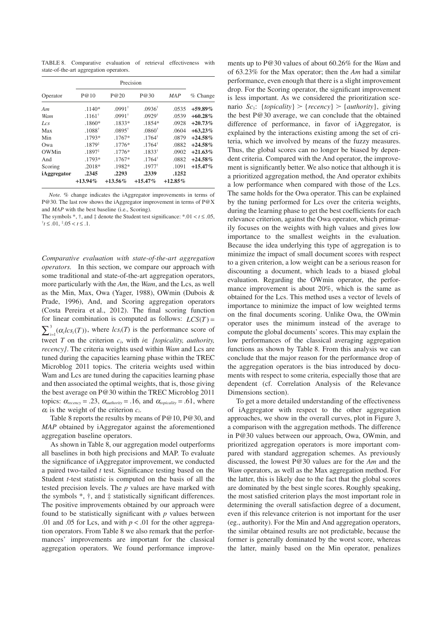TABLE 8. Comparative evaluation of retrieval effectiveness with state-of-the-art aggregation operators.

| Operator    | P@10              | P@20                 | P@30              | <b>MAP</b> | $%$ Change |
|-------------|-------------------|----------------------|-------------------|------------|------------|
| Am          | $.1140*$          | $.0991$ <sup>†</sup> | $.0936^{\dagger}$ | .0535      | $+59.89\%$ |
| Wam         | $.1161^{\dagger}$ | $.0991$ <sup>†</sup> | $.0929^{\dagger}$ | .0539      | $+60.28\%$ |
| Lcs         | $.1860*$          | $.1833*$             | $.1854*$          | .0928      | $+20.73%$  |
| Max         | $.1088^{\dagger}$ | $.0895^{\dagger}$    | $.0860*$          | .0604      | $+63,23\%$ |
| Min         | .1793*            | $.1767*$             | $.1764^{\dagger}$ | .0879      | $+24.58\%$ |
| Owa         | $.1879*$          | $.1776*$             | $.1764^{\dagger}$ | .0882      | $+24.58\%$ |
| OWMin       | $.1897*$          | $.1776*$             | $.1833*$          | .0902      | $+21.63%$  |
| And         | .1793*            | $.1767*$             | $.1764^{\dagger}$ | .0882      | $+24.58\%$ |
| Scoring     | $.2018*$          | $.1982*$             | $.1977^{\dagger}$ | .1091      | $+15.47\%$ |
| iAggregator | .2345             | .2293                | .2339             | .1252      |            |
|             | $+13.94\%$        | $+13.56\%$           | $+15.47\%$        | $+12.85\%$ |            |

*Note.* % change indicates the iAggregator improvements in terms of P@30. The last row shows the iAggregator improvement in terms of P@X and *MAP* with the best baseline (i.e., Scoring).

The symbols  $*, \dagger$ , and  $\ddagger$  denote the Student test significance:  $*.01 < t \leq .05$ , <sup>†</sup> $t \leq .01,$  <sup>‡</sup>.05 <  $t \leq .1$ .

*Comparative evaluation with state-of-the-art aggregation operators.* In this section, we compare our approach with some traditional and state-of-the-art aggregation operators, more particularly with the *Am*, the *Wam*, and the Lcs, as well as the Min, Max, Owa (Yager, 1988), OWmin (Dubois & Prade, 1996), And, and Scoring aggregation operators (Costa Pereira et al., 2012). The final scoring function for linear combination is computed as follows:  $LCS(T) =$  $\sum_{i=1}^{3} (\alpha_i l c s_i(T))$ , where  $l c s_i(T)$  is the performance score of tweet *T* on the criterion  $c_i$ , with  $i \in$  *{topicality, authority, recency}*. The criteria weights used within *Wam* and Lcs are tuned during the capacities learning phase within the TREC Microblog 2011 topics. The criteria weights used within Wam and Lcs are tuned during the capacities learning phase and then associated the optimal weights, that is, those giving the best average on P@30 within the TREC Microblog 2011 topics:  $\alpha_{reconv} = .23$ ,  $\alpha_{authority} = .16$ , and  $\alpha_{topicality} = .61$ , where  $\alpha_i$  is the weight of the criterion  $c_i$ .

Table 8 reports the results by means of P@10, P@30, and *MAP* obtained by iAggregator against the aforementioned aggregation baseline operators.

As shown in Table 8, our aggregation model outperforms all baselines in both high precisions and MAP. To evaluate the significance of iAggregator improvement, we conducted a paired two-tailed *t* test. Significance testing based on the Student *t*-test statistic is computed on the basis of all the tested precision levels. The *p* values are have marked with the symbols \*, †, and ‡ statistically significant differences. The positive improvements obtained by our approach were found to be statistically significant with *p* values between .01 and .05 for Lcs, and with  $p < .01$  for the other aggregation operators. From Table 8 we also remark that the performances' improvements are important for the classical aggregation operators. We found performance improvements up to P@30 values of about 60.26% for the *Wam* and of 63.23% for the Max operator; then the *Am* had a similar performance, even enough that there is a slight improvement drop. For the Scoring operator, the significant improvement is less important. As we considered the prioritization scenario  $Sc_1$ : {*topicality*} > {*recency*} > {*authority*}, giving the best P@30 average, we can conclude that the obtained difference of performance, in favor of iAggregator, is explained by the interactions existing among the set of criteria, which we involved by means of the fuzzy measures. Thus, the global scores can no longer be biased by dependent criteria. Compared with the And operator, the improvement is significantly better. We also notice that although it is a prioritized aggregation method, the And operator exhibits a low performance when compared with those of the Lcs. The same holds for the Owa operator. This can be explained by the tuning performed for Lcs over the criteria weights, during the learning phase to get the best coefficients for each relevance criterion, against the Owa operator, which primarily focuses on the weights with high values and gives low importance to the smallest weights in the evaluation. Because the idea underlying this type of aggregation is to minimize the impact of small document scores with respect to a given criterion, a low weight can be a serious reason for discounting a document, which leads to a biased global evaluation. Regarding the OWmin operator, the performance improvement is about 20%, which is the same as obtained for the Lcs. This method uses a vector of levels of importance to minimize the impact of low weighted terms on the final documents scoring. Unlike Owa, the OWmin operator uses the minimum instead of the average to compute the global documents' scores. This may explain the low performances of the classical averaging aggregation functions as shown by Table 8. From this analysis we can conclude that the major reason for the performance drop of the aggregation operators is the bias introduced by documents with respect to some criteria, especially those that are dependent (cf. Correlation Analysis of the Relevance Dimensions section).

To get a more detailed understanding of the effectiveness of iAggregator with respect to the other aggregation approaches, we show in the overall curves, plot in Figure 3, a comparison with the aggregation methods. The difference in P@30 values between our approach, Owa, OWmin, and prioritized aggregation operators is more important compared with standard aggregation schemes. As previously discussed, the lowest P@30 values are for the *Am* and the *Wam* operators, as well as the Max aggregation method. For the latter, this is likely due to the fact that the global scores are dominated by the best single scores. Roughly speaking, the most satisfied criterion plays the most important role in determining the overall satisfaction degree of a document, even if this relevance criterion is not important for the user (eg., authority). For the Min and And aggregation operators, the similar obtained results are not predictable, because the former is generally dominated by the worst score, whereas the latter, mainly based on the Min operator, penalizes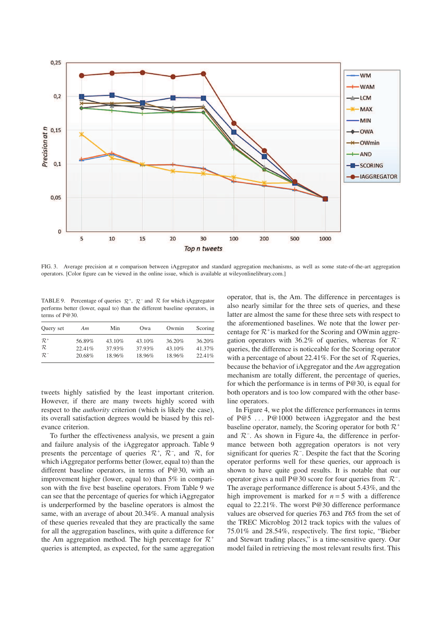

FIG. 3. Average precision at *n* comparison between iAggregator and standard aggregation mechanisms, as well as some state-of-the-art aggregation operators. [Color figure can be viewed in the online issue, which is available at wileyonlinelibrary.com.]

TABLE 9. Percentage of queries  $\mathcal{R}^+$ ,  $\mathcal{R}^-$  and  $\mathcal{R}$  for which iAggregator performs better (lower, equal to) than the different baseline operators, in terms of P@30.

| Query set       | Аm     | Min    | Owa    | Owmin  | Scoring |
|-----------------|--------|--------|--------|--------|---------|
| $\mathcal{R}^+$ | 56.89% | 43.10% | 43.10% | 36.20% | 36.20%  |
| $\mathcal{R}$   | 22.41% | 37.93% | 37.93% | 43.10% | 41.37%  |
| $\mathcal{R}^-$ | 20.68% | 18.96% | 18.96% | 18.96% | 22.41%  |

tweets highly satisfied by the least important criterion. However, if there are many tweets highly scored with respect to the *authority* criterion (which is likely the case), its overall satisfaction degrees would be biased by this relevance criterion.

To further the effectiveness analysis, we present a gain and failure analysis of the iAggregator approach. Table 9 presents the percentage of queries  $\mathcal{R}^+$ ,  $\mathcal{R}^-$ , and  $\mathcal{R}$ , for which iAggregator performs better (lower, equal to) than the different baseline operators, in terms of P@30, with an improvement higher (lower, equal to) than 5% in comparison with the five best baseline operators. From Table 9 we can see that the percentage of queries for which iAggregator is underperformed by the baseline operators is almost the same, with an average of about 20.34%. A manual analysis of these queries revealed that they are practically the same for all the aggregation baselines, with quite a difference for the Am aggregation method. The high percentage for  $\mathcal{R}^+$ queries is attempted, as expected, for the same aggregation operator, that is, the Am. The difference in percentages is also nearly similar for the three sets of queries, and these latter are almost the same for these three sets with respect to the aforementioned baselines. We note that the lower percentage for  $\mathcal{R}^+$  is marked for the Scoring and OWmin aggregation operators with 36.2% of queries, whereas for  $\mathcal{R}^$ queries, the difference is noticeable for the Scoring operator with a percentage of about 22.41%. For the set of  $\mathcal R$  queries, because the behavior of iAggregator and the *Am* aggregation mechanism are totally different, the percentage of queries, for which the performance is in terms of  $P@30$ , is equal for both operators and is too low compared with the other baseline operators.

In Figure 4, we plot the difference performances in terms of P@5 . . . P@1000 between iAggregator and the best baseline operator, namely, the Scoring operator for both  $\mathcal{R}^+$ and  $\mathcal{R}^-$ . As shown in Figure 4a, the difference in performance between both aggregation operators is not very significant for queries  $\mathcal{R}^-$ . Despite the fact that the Scoring operator performs well for these queries, our approach is shown to have quite good results. It is notable that our operator gives a null P@30 score for four queries from  $\mathcal{R}^-$ . The average performance difference is about 5.43%, and the high improvement is marked for  $n = 5$  with a difference equal to 22.21%. The worst P@30 difference performance values are observed for queries *T*63 and *T*65 from the set of the TREC Microblog 2012 track topics with the values of 75.01% and 28.54%, respectively. The first topic, "Bieber and Stewart trading places," is a time-sensitive query. Our model failed in retrieving the most relevant results first. This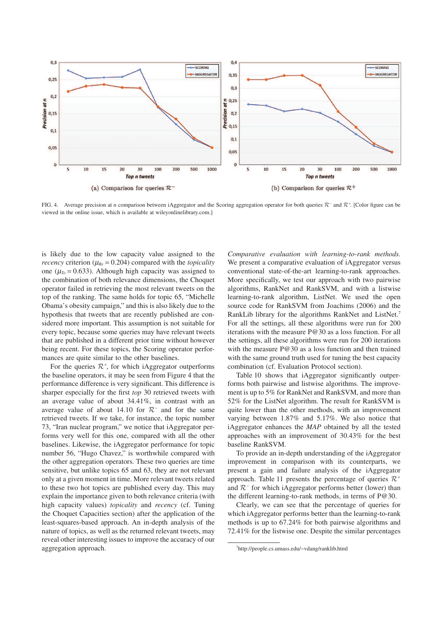

FIG. 4. Average precision at *n* comparison between iAggregator and the Scoring aggregation operator for both queries  $\mathcal{R}^-$  and  $\mathcal{R}^+$ . [Color figure can be viewed in the online issue, which is available at wileyonlinelibrary.com.]

is likely due to the low capacity value assigned to the *recency* criterion ( $\mu_{Re} = 0.204$ ) compared with the *topicality* one ( $\mu_{T_0}$  = 0.633). Although high capacity was assigned to the combination of both relevance dimensions, the Choquet operator failed in retrieving the most relevant tweets on the top of the ranking. The same holds for topic 65, "Michelle Obama's obesity campaign," and this is also likely due to the hypothesis that tweets that are recently published are considered more important. This assumption is not suitable for every topic, because some queries may have relevant tweets that are published in a different prior time without however being recent. For these topics, the Scoring operator performances are quite similar to the other baselines.

For the queries  $\mathcal{R}^+$ , for which iAggregator outperforms the baseline operators, it may be seen from Figure 4 that the performance difference is very significant. This difference is sharper especially for the first *top* 30 retrieved tweets with an average value of about 34.41%, in contrast with an average value of about 14.10 for  $\mathcal{R}^-$  and for the same retrieved tweets. If we take, for instance, the topic number 73, "Iran nuclear program," we notice that iAggregator performs very well for this one, compared with all the other baselines. Likewise, the iAggregator performance for topic number 56, "Hugo Chavez," is worthwhile compared with the other aggregation operators. These two queries are time sensitive, but unlike topics 65 and 63, they are not relevant only at a given moment in time. More relevant tweets related to these two hot topics are published every day. This may explain the importance given to both relevance criteria (with high capacity values) *topicality* and *recency* (cf. Tuning the Choquet Capacities section) after the application of the least-squares-based approach. An in-depth analysis of the nature of topics, as well as the returned relevant tweets, may reveal other interesting issues to improve the accuracy of our aggregation approach.

*Comparative evaluation with learning-to-rank methods.* We present a comparative evaluation of iAggregator versus conventional state-of-the-art learning-to-rank approaches. More specifically, we test our approach with two pairwise algorithms, RankNet and RankSVM, and with a listwise learning-to-rank algorithm, ListNet. We used the open source code for RankSVM from Joachims (2006) and the RankLib library for the algorithms RankNet and ListNet.<sup>7</sup> For all the settings, all these algorithms were run for 200 iterations with the measure P@30 as a loss function. For all the settings, all these algorithms were run for 200 iterations with the measure P@30 as a loss function and then trained with the same ground truth used for tuning the best capacity combination (cf. Evaluation Protocol section).

Table 10 shows that iAggregator significantly outperforms both pairwise and listwise algorithms. The improvement is up to 5% for RankNet and RankSVM, and more than 52% for the ListNet algorithm. The result for RankSVM is quite lower than the other methods, with an improvement varying between 1.87% and 5.17%. We also notice that iAggregator enhances the *MAP* obtained by all the tested approaches with an improvement of 30.43% for the best baseline RankSVM.

To provide an in-depth understanding of the iAggregator improvement in comparison with its counterparts, we present a gain and failure analysis of the iAggregator approach. Table 11 presents the percentage of queries  $\mathcal{R}^+$ and  $\mathcal{R}^-$  for which iAggregator performs better (lower) than the different learning-to-rank methods, in terms of P@30.

Clearly, we can see that the percentage of queries for which iAggregator performs better than the learning-to-rank methods is up to 67.24% for both pairwise algorithms and 72.41% for the listwise one. Despite the similar percentages

<sup>7</sup>http://people.cs.umass.edu/~vdang/ranklib.html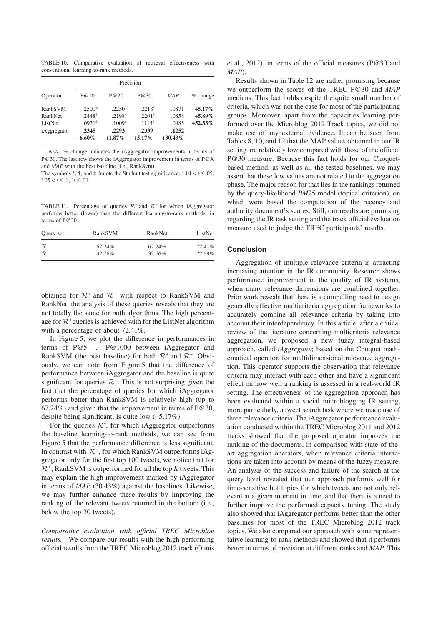TABLE 10. Comparative evaluation of retrieval effectiveness with conventional learning-to-rank methods.

|             |                    | Precision          |                   |                     |            |  |
|-------------|--------------------|--------------------|-------------------|---------------------|------------|--|
| Operator    | P@10               | P@20               | P@30              | <b>MAP</b>          | $%$ change |  |
| RankSVM     | $.2500*$           | $.2250^{+}$        | $.2218^+$         | .0871               | $+5.17\%$  |  |
| RankNet     | $.2448^{\dagger}$  | $.2198^{\dagger}$  | $.2201^+$         | .0858               | $+5.89\%$  |  |
| ListNet     | $.0931*$           | $.1009*$           | $.1115*$          | .0485               | $+52.33\%$ |  |
| iAggregator | .2345<br>$-6.60\%$ | .2293<br>$+1.87\%$ | .2339<br>$+5.17%$ | .1252<br>$+30.43\%$ |            |  |

*Note.* % change indicates the iAggregator improvements in terms of P@30. The last row shows the iAggregator improvement in terms of P@X and *MAP* with the best baseline (i.e., RankSvm).

The symbols  $*, \dagger$ , and  $\ddagger$  denote the Student test significance:  $*.01 < t \le .05;$ <sup>‡</sup>.05 <  $t$  ≤ .1; <sup>‡</sup> $t$  ≤ .01.

TABLE 11. Percentage of queries  $\mathcal{R}^+$  and  $\mathcal{R}^-$  for which iAggregator performs better (lower) than the different learning-to-rank methods, in terms of P@30.

| Query set       | RankSVM | RankNet | ListNet |  |
|-----------------|---------|---------|---------|--|
| $\mathcal{R}^+$ | 67.24%  | 67.24%  | 72.41%  |  |
| $\mathcal{R}^-$ | 32.76%  | 32.76%  | 27.59%  |  |

obtained for  $\mathcal{R}^+$  and  $\mathcal{R}^-$  with respect to RankSVM and RankNet, the analysis of these queries reveals that they are not totally the same for both algorithms. The high percentage for  $\mathcal{R}^+$ queries is achieved with for the ListNet algorithm with a percentage of about 72.41%.

In Figure 5, we plot the difference in performances in terms of P@5 . . . P@1000 between iAggregator and RankSVM (the best baseline) for both  $\mathcal{R}^+$  and  $\mathcal{R}^-$ . Obviously, we can note from Figure 5 that the difference of performance between iAggregator and the baseline is quite significant for queries  $\mathcal{R}^-$ . This is not surprising given the fact that the percentage of queries for which iAggregator performs better than RankSVM is relatively high (up to 67.24%) and given that the improvement in terms of P@30, despite being significant, is quite low (+5.17%).

For the queries  $\mathcal{R}^+$ , for which iAggregator outperforms the baseline learning-to-rank methods, we can see from Figure 5 that the performance difference is less significant. In contrast with  $\mathcal{R}^-$ , for which RankSVM outperforms iAggregator only for the first top 100 tweets, we notice that for  $\mathcal{R}^+$ , RankSVM is outperformed for all the top  $K$  tweets. This may explain the high improvement marked by iAggregator in terms of *MAP* (30.43%) against the baselines. Likewise, we may further enhance these results by improving the ranking of the relevant tweets returned in the bottom (i.e., below the top 30 tweets).

*Comparative evaluation with official TREC Microblog results.* We compare our results with the high-performing official results from the TREC Microblog 2012 track (Ounis et al., 2012), in terms of the official measures (P@30 and *MAP*).

Results shown in Table 12 are rather promising because we outperform the scores of the TREC P@30 and *MAP* medians. This fact holds despite the quite small number of criteria, which was not the case for most of the participating groups. Moreover, apart from the capacities learning performed over the Microblog 2012 Track topics, we did not make use of any external evidence. It can be seen from Tables 8, 10, and 12 that the MAP values obtained in our IR setting are relatively low compared with those of the official P@30 measure. Because this fact holds for our Choquetbased method, as well as all the tested baselines, we may assert that these low values are not related to the aggregation phase. The major reason for that lies in the rankings returned by the query-likelihood *BM*25 model (topical criterion), on which were based the computation of the recency and authority document's scores. Still, our results are promising regarding the IR task setting and the track official evaluation measure used to judge the TREC participants' results.

### **Conclusion**

Aggregation of multiple relevance criteria is attracting increasing attention in the IR community. Research shows performance improvement in the quality of IR systems, when many relevance dimensions are combined together. Prior work reveals that there is a compelling need to design generally effective multicriteria aggregation frameworks to accurately combine all relevance criteria by taking into account their interdependency. In this article, after a critical review of the literature concerning multicriteria relevance aggregation, we proposed a new fuzzy integral-based approach, called *iAggregator,* based on the Choquet mathematical operator, for multidimensional relevance aggregation. This operator supports the observation that relevance criteria may interact with each other and have a significant effect on how well a ranking is assessed in a real-world IR setting. The effectiveness of the aggregation approach has been evaluated within a social microblogging IR setting, more particularly, a tweet search task where we made use of three relevance criteria. The iAggregator performance evaluation conducted within the TREC Microblog 2011 and 2012 tracks showed that the proposed operator improves the ranking of the documents, in comparison with state-of-theart aggregation operators, when relevance criteria interactions are taken into account by means of the fuzzy measure. An analysis of the success and failure of the search at the query level revealed that our approach performs well for time-sensitive hot topics for which tweets are not only relevant at a given moment in time, and that there is a need to further improve the performed capacity tuning. The study also showed that iAggregator performs better than the other baselines for most of the TREC Microblog 2012 track topics. We also compared our approach with some representative learning-to-rank methods and showed that it performs better in terms of precision at different ranks and *MAP*. This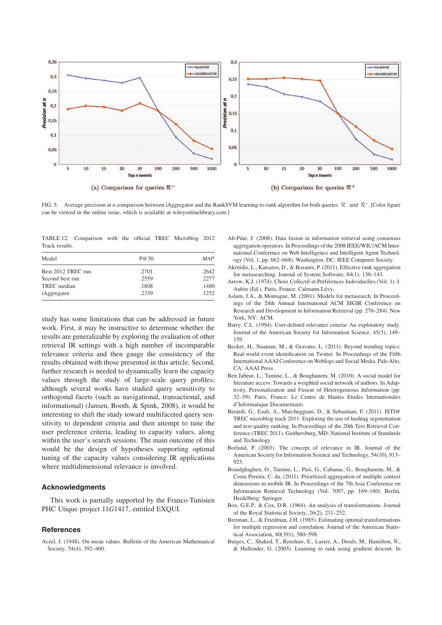

FIG. 5. Average precision at *n* comparison between iAggregator and the RankSVM learning-to-rank algorithm for both queries  $\mathcal{R}^-$  and  $\mathcal{R}^+$ . [Color figure can be viewed in the online issue, which is available at wileyonlinelibrary.com.]

|                | TABLE 12. Comparison with the official TREC Microblog 2012 |  |  |  |
|----------------|------------------------------------------------------------|--|--|--|
| Track results. |                                                            |  |  |  |
|                |                                                            |  |  |  |

| Model              | P@30  | <b>MAP</b> |  |
|--------------------|-------|------------|--|
| Best 2012 TREC run | .2701 | .2642      |  |
| Second best run    | .2559 | .2277      |  |
| TREC median        | .1808 | .1480      |  |
| iAggregator        | .2339 | .1252      |  |

study has some limitations that can be addressed in future work. First, it may be instructive to determine whether the results are generalizable by exploring the evaluation of other retrieval IR settings with a high number of incomparable relevance criteria and then gauge the consistency of the results obtained with those presented in this article. Second, further research is needed to dynamically learn the capacity values through the study of large-scale query profiles; although several works have studied query sensitivity to orthogonal facets (such as navigational, transactional, and informational) (Jansen, Booth, & Spink, 2008), it would be interesting to shift the study toward multifaceted query sensitivity to dependent criteria and then attempt to tune the user preference criteria, leading to capacity values, along within the user's search sessions. The main outcome of this would be the design of hypotheses supporting optimal tuning of the capacity values considering IR applications where multidimensional relevance is involved.

# **Acknowledgments**

This work is partially supported by the Franco-Tunisien PHC Utique project 11*G*1417, entitled EXQUI.

# **References**

Aczel, J. (1948). On mean values. Bulletin of the American Mathematical Society, 54(4), 392–400.

- Ah-Pine, J. (2008). Data fusion in information retrieval using consensus aggregation operators. In Proceedings of the 2008 IEEE/WIC/ACM International Conference on Web Intelligence and Intelligent Agent Technology (Vol. 1, pp. 662–668). Washington, DC: IEEE Computer Society.
- Akritidis, L., Katsaros, D., & Bozanis, P. (2011). Effective rank aggregation for metasearching. Journal of System Software, 84(1), 130–143.
- Arrow, K.J. (1974). Choix Collectif et Préférences Individuelles (Vol. 1). I. Aubin (Ed.). Paris, France: Calmann-Lévy.
- Aslam, J.A., & Montague, M. (2001). Models for metasearch. In Proceedings of the 24th Annual International ACM SIGIR Conference on Research and Development in Information Retrieval (pp. 276–284). New York, NY: ACM.
- Barry, C.L. (1994). User-defined relevance criteria: An exploratory study. Journal of the American Society for Information Science, 45(3), 149– 159.
- Becker, H., Naaman, M., & Gravano, L. (2011). Beyond trending topics: Real-world event identification on Twitter. In Proceedings of the Fifth International AAAI Conference on Weblogs and Social Media. Palo Alto, CA: AAAI Press.
- Ben Jabeur, L., Tamine, L., & Boughanem, M. (2010). A social model for literature access: Towards a weighted social network of authors. In Adaptivity, Personalization and Fusion of Heterogeneous Information (pp. 32–39). Paris, France: Le Centre de Hautes Etudes Internationales d'Informatique Documentaire.
- Berardi, G., Esuli, A., Marcheggiani, D., & Sebastiani, F. (2011). ISTI@ TREC microblog track 2011: Exploring the use of hashtag segmentation and text quality ranking. In Proceedings of the 20th Text Retrieval Conference (TREC 2011). Gaithersburg, MD: National Institute of Standards and Technology.
- Borlund, P. (2003). The concept of relevance in IR. Journal of the American Society for Information Science and Technology, 54(10), 913– 925.
- Bouidghaghen, O., Tamine, L., Pasi, G., Cabanac, G., Boughanem, M., & Costa Pereira, C. da. (2011). Prioritized aggregation of multiple context dimensions in mobile IR. In Proceedings of the 7th Asia Conference on Information Retrieval Technology (Vol. 7097, pp. 169–180). Berlin, Heidelberg: Springer.
- Box, G.E.P., & Cox, D.R. (1964). An analysis of transformations. Journal of the Royal Statistical Society, 26(2), 211–252.
- Breiman, L., & Friedman, J.H. (1985). Estimating optimal transformations for multiple regression and correlation. Journal of the American Statistical Association, 80(391), 580–598.
- Burges, C., Shaked, T., Renshaw, E., Lazier, A., Deeds, M., Hamilton, N., & Hullender, G. (2005). Learning to rank using gradient descent. In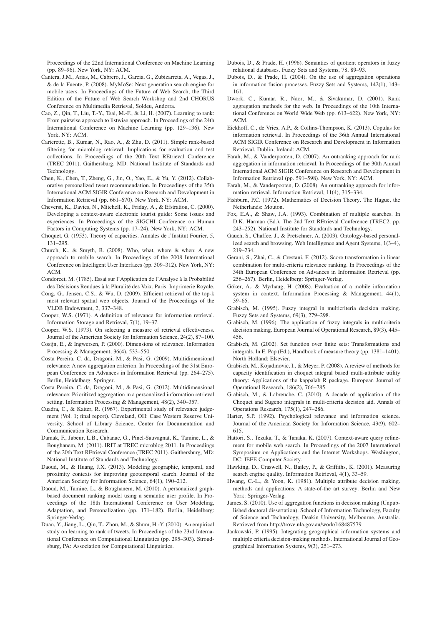Proceedings of the 22nd International Conference on Machine Learning (pp. 89–96). New York, NY: ACM.

- Cantera, J.M., Arias, M., Cabrero, J., Garcia, G., Zubizarreta, A., Vegas, J., & de la Fuente, P. (2008). MyMoSe: Next generation search engine for mobile users. In Proceedings of the Future of Web Search, the Third Edition of the Future of Web Search Workshop and 2nd CHORUS Conference on Multimedia Retrieval, Soldeu, Andorra.
- Cao, Z., Qin, T., Liu, T.-Y., Tsai, M.-F., & Li, H. (2007). Learning to rank: From pairwise approach to listwise approach. In Proceedings of the 24th International Conference on Machine Learning (pp. 129–136). New York, NY: ACM.
- Carterette, B., Kumar, N., Rao, A., & Zhu, D. (2011). Simple rank-based filtering for microblog retrieval: Implications for evaluation and test collections. In Proceedings of the 20th Text REtrieval Conference (TREC 2011). Gaithersburg, MD: National Institute of Standards and Technology.
- Chen, K., Chen, T., Zheng, G., Jin, O., Yao, E., & Yu, Y. (2012). Collaborative personalized tweet recommendation. In Proceedings of the 35th International ACM SIGIR Conference on Research and Development in Information Retrieval (pp. 661–670). New York, NY: ACM.
- Cheverst, K., Davies, N., Mitchell, K., Friday, A., & Efstratiou, C. (2000). Developing a context-aware electronic tourist guide: Some issues and experiences. In Proceedings of the SIGCHI Conference on Human Factors in Computing Systems (pp. 17–24). New York, NY: ACM.
- Choquet, G. (1953). Theory of capacities. Annales de l'Institut Fourier, 5, 131–295.
- Church, K., & Smyth, B. (2008). Who, what, where & when: A new approach to mobile search. In Proceedings of the 2008 International Conference on Intelligent User Interfaces (pp. 309–312). New York, NY: ACM.
- Condorcet, M. (1785). Essai sur l'Application de l'Analyse à la Probabilité des Décisions Rendues à la Pluralité des Voix. Paris: Imprimerie Royale.
- Cong, G., Jensen, C.S., & Wu, D. (2009). Efficient retrieval of the top-k most relevant spatial web objects. Journal of the Proceedings of the VLDB Endowment, 2, 337–348.
- Cooper, W.S. (1971). A definition of relevance for information retrieval. Information Storage and Retrieval, 7(1), 19–37.
- Cooper, W.S. (1973). On selecting a measure of retrieval effectiveness. Journal of the American Society for Information Science, 24(2), 87–100.
- Cosijn, E., & Ingwersen, P. (2000). Dimensions of relevance. Information Processing & Management, 36(4), 533–550.
- Costa Pereira, C. da, Dragoni, M., & Pasi, G. (2009). Multidimensional relevance: A new aggregation criterion. In Proceedings of the 31st European Conference on Advances in Information Retrieval (pp. 264–275). Berlin, Heidelberg: Springer.
- Costa Pereira, C. da, Dragoni, M., & Pasi, G. (2012). Multidimensional relevance: Prioritized aggregation in a personalized information retrieval setting. Information Processing & Management, 48(2), 340–357.
- Cuadra, C., & Katter, R. (1967). Experimental study of relevance judgement (Vol. 1; final report). Cleveland, OH: Case Western Reserve University, School of Library Science, Center for Documentation and Communication Research.
- Damak, F., Jabeur, L.B., Cabanac, G., Pinel-Sauvagnat, K., Tamine, L., & Boughanem, M. (2011). IRIT at TREC microblog 2011. In Proceedings of the 20th Text REtrieval Conference (TREC 2011). Gaithersburg, MD: National Institute of Standards and Technology.
- Daoud, M., & Huang, J.X. (2013). Modeling geographic, temporal, and proximity contexts for improving geotemporal search. Journal of the American Society for Information Science, 64(1), 190–212.
- Daoud, M., Tamine, L., & Boughanem, M. (2010). A personalized graphbased document ranking model using a semantic user profile. In Proceedings of the 18th International Conference on User Modeling, Adaptation, and Personalization (pp. 171–182). Berlin, Heidelberg: Springer-Verlag.
- Duan, Y., Jiang, L., Qin, T., Zhou, M., & Shum, H.-Y. (2010). An empirical study on learning to rank of tweets. In Proceedings of the 23rd International Conference on Computational Linguistics (pp. 295–303). Stroudsburg, PA: Association for Computational Linguistics.
- Dubois, D., & Prade, H. (1996). Semantics of quotient operators in fuzzy relational databases. Fuzzy Sets and Systems, 78, 89–93.
- Dubois, D., & Prade, H. (2004). On the use of aggregation operations in information fusion processes. Fuzzy Sets and Systems, 142(1), 143– 161.
- Dwork, C., Kumar, R., Naor, M., & Sivakumar, D. (2001). Rank aggregation methods for the web. In Proceedings of the 10th International Conference on World Wide Web (pp. 613–622). New York, NY: ACM.
- Eickhoff, C., de Vries, A.P., & Collins-Thompson, K. (2013). Copulas for information retrieval. In Proceedings of the 36th Annual International ACM SIGIR Conference on Research and Development in Information Retrieval. Dublin, Ireland: ACM.
- Farah, M., & Vanderpooten, D. (2007). An outranking approach for rank aggregation in information retrieval. In Proceedings of the 30th Annual International ACM SIGIR Conference on Research and Development in Information Retrieval (pp. 591–598). New York, NY: ACM.
- Farah, M., & Vanderpooten, D. (2008). An outranking approach for information retrieval. Information Retrieval, 11(4), 315–334.
- Fishburn, P.C. (1972). Mathematics of Decision Theory. The Hague, the Netherlands: Mouton.
- Fox, E.A., & Shaw, J.A. (1993). Combination of multiple searches. In D.K. Harman (Ed.), The 2nd Text REtrieval Conference (TREC2, pp. 243–252). National Institute for Standards and Technology.
- Gauch, S., Chaffee, J., & Pretschner, A. (2003). Ontology-based personalized search and browsing. Web Intelligence and Agent Systems, 1(3–4), 219–234.
- Gerani, S., Zhai, C., & Crestani, F. (2012). Score transformation in linear combination for multi-criteria relevance ranking. In Proceedings of the 34th European Conference on Advances in Information Retrieval (pp. 256–267). Berlin, Heidelberg: Springer-Verlag.
- Göker, A., & Myrhaug, H. (2008). Evaluation of a mobile information system in context. Information Processing & Management, 44(1), 39–65.
- Grabisch, M. (1995). Fuzzy integral in multicriteria decision making. Fuzzy Sets and Systems, 69(3), 279–298.
- Grabisch, M. (1996). The application of fuzzy integrals in multicriteria decision making. European Journal of Operational Research, 89(3), 445– 456.
- Grabisch, M. (2002). Set function over finite sets: Transformations and integrals. In E. Pap (Ed.), Handbook of measure theory (pp. 1381–1401). North Holland: Elsevier.
- Grabisch, M., Kojadinovic, I., & Meyer, P. (2008). A review of methods for capacity identification in choquet integral based multi-attribute utility theory: Applications of the kappalab R package. European Journal of Operational Research, 186(2), 766–785.
- Grabisch, M., & Labreuche, C. (2010). A decade of application of the Choquet and Sugeno integrals in multi-criteria decision aid. Annals of Operations Research, 175(1), 247–286.
- Harter, S.P. (1992). Psychological relevance and information science. Journal of the American Society for Information Science, 43(9), 602– 615.
- Hattori, S., Tezuka, T., & Tanaka, K. (2007). Context-aware query refinement for mobile web search. In Proceedings of the 2007 International Symposium on Applications and the Internet Workshops. Washington, DC: IEEE Computer Society.
- Hawking, D., Craswell, N., Bailey, P., & Griffiths, K. (2001). Measuring search engine quality. Information Retrieval, 4(1), 33–59.
- Hwang, C.-L., & Yoon, K. (1981). Multiple attribute decision making. methods and applications: A state-of-the art survey. Berlin and New York: Springer-Verlag.
- James, S. (2010). Use of aggregation functions in decision making (Unpublished doctoral dissertation). School of Information Technology, Faculty of Science and Technology, Deakin University, Melbourne, Australia. Retrieved from http://trove.nla.gov.au/work/168487579
- Jankowski, P. (1995). Integrating geographical information systems and multiple criteria decision-making methods. International Journal of Geographical Information Systems, 9(3), 251–273.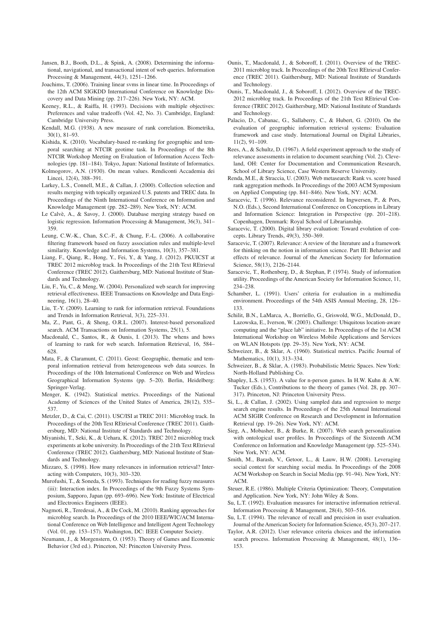- Jansen, B.J., Booth, D.L., & Spink, A. (2008). Determining the informational, navigational, and transactional intent of web queries. Information Processing & Management, 44(3), 1251–1266.
- Joachims, T. (2006). Training linear svms in linear time. In Proceedings of the 12th ACM SIGKDD International Conference on Knowledge Discovery and Data Mining (pp. 217–226). New York, NY: ACM.
- Keeney, R.L., & Raiffa, H. (1993). Decisions with multiple objectives: Preferences and value tradeoffs (Vol. 42, No. 3). Cambridge, England: Cambridge University Press.
- Kendall, M.G. (1938). A new measure of rank correlation. Biometrika, 30(1), 81–93.
- Kishida, K. (2010). Vocabulary-based re-ranking for geographic and temporal searching at NTCIR geotime task. In Proceedings of the 8th NTCIR Workshop Meeting on Evaluation of Information Access Technologies (pp. 181–184). Tokyo, Japan: National Institute of Informatics.
- Kolmogorov, A.N. (1930). On mean values. Rendiconti Accademia dei Lincei, 12(4), 388–391.
- Larkey, L.S., Connell, M.E., & Callan, J. (2000). Collection selection and results merging with topically organized U.S. patents and TREC data. In Proceedings of the Ninth International Conference on Information and Knowledge Management (pp. 282–289). New York, NY: ACM.
- Le Calvè, A., & Savoy, J. (2000). Database merging strategy based on logistic regression. Information Processing & Management, 36(3), 341– 359.
- Leung, C.W.-K., Chan, S.C.-F., & Chung, F.-L. (2006). A collaborative filtering framework based on fuzzy association rules and multiple-level similarity. Knowledge and Information Systems, 10(3), 357–381.
- Liang, F., Qiang, R., Hong, Y., Fei, Y., & Yang, J. (2012). PKUICST at TREC 2012 microblog track. In Proceedings of the 21th Text REtrieval Conference (TREC 2012). Gaithersburg, MD: National Institute of Standards and Technology.
- Liu, F., Yu, C., & Meng, W. (2004). Personalized web search for improving retrieval effectiveness. IEEE Transactions on Knowledge and Data Engineering, 16(1), 28–40.
- Liu, T.-Y. (2009). Learning to rank for information retrieval. Foundations and Trends in Information Retrieval, 3(3), 225–331.
- Ma, Z., Pant, G., & Sheng, O.R.L. (2007). Interest-based personalized search. ACM Transactions on Information Systems, 25(1), 5.
- Macdonald, C., Santos, R., & Ounis, I. (2013). The whens and hows of learning to rank for web search. Information Retrieval, 16, 584– 628.
- Mata, F., & Claramunt, C. (2011). Geost: Geographic, thematic and temporal information retrieval from heterogeneous web data sources. In Proceedings of the 10th International Conference on Web and Wireless Geographical Information Systems (pp. 5–20). Berlin, Heidelberg: Springer-Verlag.
- Menger, K. (1942). Statistical metrics. Proceedings of the National Academy of Sciences of the United States of America, 28(12), 535– 537.
- Metzler, D., & Cai, C. (2011). USC/ISI at TREC 2011: Microblog track. In Proceedings of the 20th Text REtrieval Conference (TREC 2011). Gaithersburg, MD: National Institute of Standards and Technology.
- Miyanishi, T., Seki, K., & Uehara, K. (2012). TREC 2012 microblog track experiments at kobe university. In Proceedings of the 21th Text REtrieval Conference (TREC 2012). Gaithersburg, MD: National Institute of Standards and Technology.
- Mizzaro, S. (1998). How many relevances in information retrieval? Interacting with Computers, 10(3), 303–320.
- Murofushi, T., & Soneda, S. (1993). Techniques for reading fuzzy measures (iii): Interaction index. In Proceedings of the 9th Fuzzy Systems Symposium, Sapporo, Japan (pp. 693–696). New York: Institute of Electrical and Electronics Engineers (IEEE).
- Nagmoti, R., Teredesai, A., & De Cock, M. (2010). Ranking approaches for microblog search. In Proceedings of the 2010 IEEE/WIC/ACM International Conference on Web Intelligence and Intelligent Agent Technology (Vol. 01, pp. 153–157). Washington, DC: IEEE Computer Society.
- Neumann, J., & Morgenstern, O. (1953). Theory of Games and Economic Behavior (3rd ed.). Princeton, NJ: Princeton University Press.
- Ounis, T., Macdonald, J., & Soboroff, I. (2011). Overview of the TREC-2011 microblog track. In Proceedings of the 20th Text REtrieval Conference (TREC 2011). Gaithersburg, MD: National Institute of Standards and Technology.
- Ounis, T., Macdonald, J., & Soboroff, I. (2012). Overview of the TREC-2012 microblog track. In Proceedings of the 21th Text REtrieval Conference (TREC 2012). Gaithersburg, MD: National Institute of Standards and Technology.
- Palacio, D., Cabanac, G., Sallaberry, C., & Hubert, G. (2010). On the evaluation of geographic information retrieval systems: Evaluation framework and case study. International Journal on Digital Libraries, 11(2), 91–109.
- Rees, A., & Schultz, D. (1967). A field experiment approach to the study of relevance assessments in relation to document searching (Vol. 2). Cleveland, OH: Center for Documentation and Communication Research, School of Library Science, Case Western Reserve University.
- Renda, M.E., & Straccia, U. (2003). Web metasearch: Rank vs. score based rank aggregation methods. In Proceedings of the 2003 ACM Symposium on Applied Computing (pp. 841–846). New York, NY: ACM.
- Saracevic, T. (1996). Relevance reconsidered. In Ingwersen, P., & Pors, N.O. (Eds.), Second International Conference on Conceptions in Library and Information Science: Integration in Perspective (pp. 201–218). Copenhagen, Denmark: Royal School of Librarianship.
- Saracevic, T. (2000). Digital library evaluation: Toward evolution of concepts. Library Trends, 49(3), 350–369.
- Saracevic, T. (2007). Relevance: A review of the literature and a framework for thinking on the notion in information science. Part III: Behavior and effects of relevance. Journal of the American Society for Information Science, 58(13), 2126–2144.
- Saracevic, T., Rothenberg, D., & Stephan, P. (1974). Study of information utility. Proceedings of the American Society for Information Science, 11, 234–238.
- Schamber, L. (1991). Users' criteria for evaluation in a multimedia environment. Proceedings of the 54th ASIS Annual Meeting, 28, 126– 133.
- Schilit, B.N., LaMarca, A., Borriello, G., Griswold, W.G., McDonald, D., Lazowska, E., Iverson, W. (2003). Challenge: Ubiquitous location-aware computing and the "place lab" initiative. In Proceedings of the 1st ACM International Workshop on Wireless Mobile Applications and Services on WLAN Hotspots (pp. 29–35). New York, NY: ACM.
- Schweizer, B., & Sklar, A. (1960). Statistical metrics. Pacific Journal of Mathematics, 10(1), 313–334.
- Schweizer, B., & Sklar, A. (1983). Probabilistic Metric Spaces. New York: North-Holland Publishing Co.
- Shapley, L.S. (1953). A value for n-person games. In H.W. Kuhn & A.W. Tucker (Eds.), Contributions to the theory of games (Vol. 28, pp. 307– 317). Princeton, NJ: Princeton University Press.
- Si, L., & Callan, J. (2002). Using sampled data and regression to merge search engine results. In Proceedings of the 25th Annual International ACM SIGIR Conference on Research and Development in Information Retrieval (pp. 19–26). New York, NY: ACM.
- Sieg, A., Mobasher, B., & Burke, R. (2007). Web search personalization with ontological user profiles. In Proceedings of the Sixteenth ACM Conference on Information and Knowledge Management (pp. 525–534). New York, NY: ACM.
- Smith, M., Barash, V., Getoor, L., & Lauw, H.W. (2008). Leveraging social context for searching social media. In Proceedings of the 2008 ACM Workshop on Search in Social Media (pp. 91–94). New York, NY: ACM.
- Steuer, R.E. (1986). Multiple Criteria Optimization: Theory, Computation and Application. New York, NY: John Wiley & Sons.
- Su, L.T. (1992). Evaluation measures for interactive information retrieval. Information Processing & Management, 28(4), 503–516.
- Su, L.T. (1994). The relevance of recall and precision in user evaluation. Journal of the American Society for Information Science, 45(3), 207–217.
- Taylor, A.R. (2012). User relevance criteria choices and the information search process. Information Processing & Management, 48(1), 136– 153.